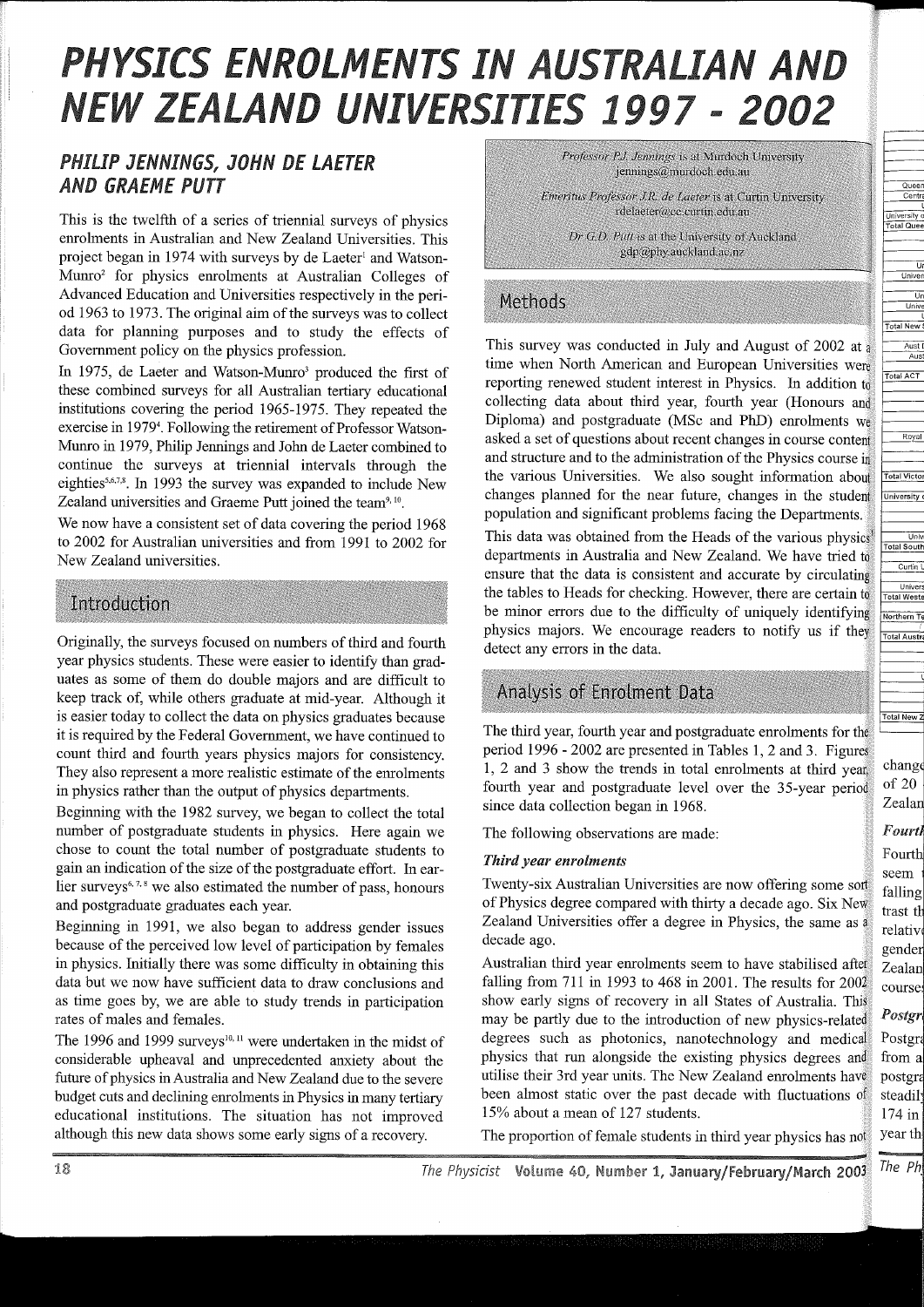# PHYSICS ENROLMENTS IN AUSTRALIAN AND NEW ZEALAND UNIVERSITIES 1997 - 2002

# *PHILIP JENNINGS, JOHN DE LAETER AND GRAEME PUTT*

This is the twelfth of a series of triennial surveys of physics emolments in Australian and New Zealand Universities. This project began in 1974 with surveys by de Laeter<sup>1</sup> and Watson-Mumo2 for physics emolments at Australian Colleges of Advanced Education and Universities respectively in the period 1963 to 1973. The original aim of the surveys was to collect data for planning purposes and to study the effects of Government policy on the physics profession.

In 1975, de Laeter and Watson-Munro<sup>3</sup> produced the first of these combined surveys for all Australian tertiary educational institutions covering the period 1965-1975. They repeated the exercise in 1979<sup>4</sup>. Following the retirement of Professor Watson-Mumo in 1979, Philip Jennings and Jolm de Laeter combined to continue the surveys at triennial intervals through the eighties<sup>5,6,7,8</sup>. In 1993 the survey was expanded to include New Zealand universities and Graeme Putt joined the team<sup>9, 10</sup>.

We now have a consistent set of data covering the period 1968 to 2002 for Australian universities and from 1991 to 2002 for New Zealand universities.

## Introduction

Originally, the surveys focused on numbers of third and fourth year physics students. These were easier to identify than graduates as some of them do double majors and are difficult to keep track of, while others graduate at mid-year. Although it is easier today to collect the data on physics graduates because it is required by the Federal Government, we have continued to count third and fourth years physics majors for consistency. They also represent a more realistic estimate of the emolments in physics rather than the output of physics departments.

Beginning with the 1982 survey, we began to collect the total number of postgraduate students in physics. Here again we chose to count the total number of postgraduate students to gain an indication of the size of the postgraduate effort. In earlier surveys<sup>6, 7, 8</sup> we also estimated the number of pass, honours and postgraduate graduates each year.

Beginning in 1991, we also began to address gender issues because of the perceived low level of participation by females in physics. Initially there was some difficulty in obtaining this data but we now have sufficient data to draw conclusions and as time goes by, we are able to study trends in participation rates of males and females.

The 1996 and 1999 surveys<sup>10, 11</sup> were undertaken in the midst of considerable upheaval and unprecedented anxiety about the future of physics in Australia and New Zealand due to the severe budget cuts and declining emolments in Physics in many tertiary educational institutions. The situation has not improved although this new data shows some early signs of a recovery.

Professor P.J. Jennings is at Murdoch University jennings@murdoch.edu.au

Emeritus Professor J.R. de Laeter is at Curtin University rdelaeter@cc.curtin.edu.au

Dr G.D. Putt is at the University of Auckland gdp@phy.auckland.ac.nz

# Methods

This survey was conducted in July and August of 2002 at a time when North American and European Universities were reporting renewed student interest in Physics. In addition to collecting data about third year, fourth year (Honours and Diploma) and postgraduate (MSc and PhD) emolments we asked a set of questions about recent changes in course content and structure and to the administration of the Physics course in the various Universities. We also sought information about changes planned for the near future, changes in the student population and significant problems facing the Departments.

This data was obtained from the Heads of the various physics departments in Australia and New Zealand. We have tried to ensure that the data is consistent and accurate by circulating the tables to Heads for checking. However, there are certain to be minor errors due to the difficulty of uniquely identifying physics majors. We encourage readers to notify us if they detect any errors in the data.

# Analysis of Enrolment Data

The third year, fourth year and postgraduate emolments for the period 1996 - 2002 are presented in Tables 1, 2 and 3. Figures 1, 2 and 3 show the trends in total emolments at third year, fourth year and postgraduate level over the 35-year period since data collection began in 1968.

The following observations are made:

## *Third year enrolments*

Twenty-six Australian Universities are now offering some sort of Physics degree compared with thirty a decade ago. Six New Zealand Universities offer a degree in Physics, the same as a decade ago.

Australian third year emolments seem to have stabilised after falling from 711 in 1993 to 468 in 2001. The results for 2002 show early signs of recovery in all States of Australia. This may be partly due to the introduction of new physics-related degrees such as photonics, nanotechnology and medical physics that run alongside the existing physics degrees and utilise their 3rd year units. The New Zealand emolments have been almost static over the past decade with fluctuations of 15% about a mean of 127 students.

The proportion of female students in third year physics has not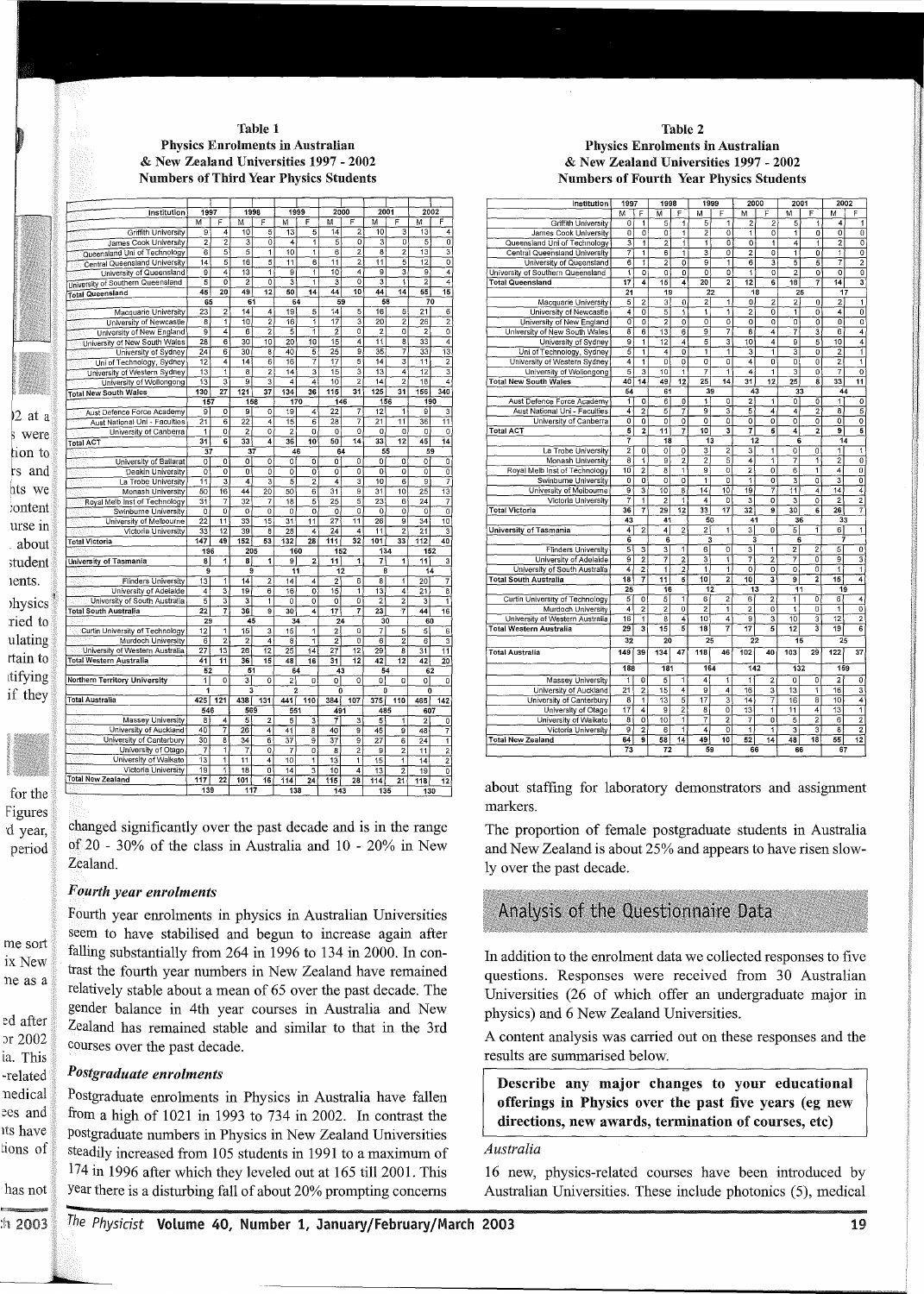#### Table 1 Physics Enrolments in Australian & New Zealand Universities 1997 - 2002 Numbers of Third Year Physics Students

| 2001<br>2002<br>1997<br>1998<br>1999<br>2000<br>Institution<br>F<br>F<br>м<br>F<br>M<br>F<br>M<br>М<br>M<br>F<br>M<br>F<br>$\overline{2}$<br>5<br>$\overline{14}$<br>10<br>$\overline{13}$<br>Griffith University<br>g<br>4<br>10<br>13<br>5<br>4<br>2<br>ō<br>5<br>ō<br>$\overline{\mathfrak{o}}$<br>$\overline{2}$<br>$\overline{0}$<br>5<br>4<br>$\overline{1}$<br>3<br>James Cook University<br>3<br>$\overline{\mathbf{3}}$<br>$\overline{5}$<br>$\overline{5}$<br>1<br>$\overline{10}$<br>1<br>$\overline{6}$<br>2<br>8<br>$\overline{c}$<br>13<br>$\overline{6}$<br>Queensland Uni of Technology<br>$\overline{5}$<br>$\overline{2}$<br>5<br>$\overline{12}$<br>ō<br>$\overline{14}$<br>5<br>16<br>$\overline{6}$<br>$1\overline{1}$<br>11<br>11<br>Central Queensland University<br>1<br>1<br>4<br>3<br>ē<br>4<br>$\overline{9}$<br>4<br>$\overline{13}$<br>$\overline{9}$<br>$10^{-}$<br>g<br>University of Queensland<br>4<br>ō<br>2<br>$\overline{0}$<br>3<br>$\overline{\overline{\overline{3}}}$<br>$\overline{0}$<br>$\overline{\mathbf{3}}$<br>1<br>$\overline{2}$<br>5<br>1<br>University of Southern Queensland<br>15<br>20<br>49<br>$\overline{12}$<br>50<br>$\overline{14}$<br>44<br>10<br>44<br>$\overline{14}$<br>55<br>45<br><b>Total Queensland</b><br>65<br>61<br>64<br>59<br>58<br>70<br>5<br>5<br>6<br>23<br>$\overline{c}$<br>14<br>4<br>19<br>5<br>14<br>16<br>21<br>Macquarie University<br>$\overline{2}$<br>1<br>10<br>2<br>16<br>7<br>$1\overline{7}$<br>3<br>20<br>$\overline{2}$<br>University of Newcastle<br>8<br>26<br>ō<br>ō<br>9<br>4<br>$\overline{6}$<br>$\overline{2}$<br>$\overline{\mathbf{5}}$<br>1<br>$\overline{2}$<br>$\overline{2}$<br>$\overline{0}$<br>$\overline{2}$<br>University of New England<br>4<br>$\overline{11}$<br>$\overline{\mathbf{8}}$<br>4<br>28<br>6<br>$\overline{30}$<br>$\overline{10}$<br>20<br>10<br>15<br>33<br>University of New South Wales<br>ğ<br>7<br>$\overline{13}$<br>25<br>35<br>University of Sydney<br>24<br>6<br>30<br>8<br>40<br>5<br>33<br>$\overline{17}$<br>5<br>2<br>7<br>14<br>3<br>11<br>Uni of Technology, Sydney<br>$\overline{12}$<br>4<br>$\overline{14}$<br>6<br>$\overline{16}$<br>$\overline{\mathfrak{1}}$<br>15<br>$\overline{\overline{3}}$<br>$\overline{13}$<br>3<br>2<br>4<br>12<br>University of Western Sydney<br>$\overline{13}$<br>8<br>$\overline{14}$<br>3<br>$\overline{2}$<br>$\overline{2}$<br>$\overline{\mathbf{3}}$<br>$\bar{3}$<br>$10^{-}$<br>$\overline{18}$<br>4<br>$\overline{13}$<br>$\overline{9}$<br>4<br>14<br>University of Wollongong<br>4<br>27<br>$\overline{36}$<br>115<br>$\overline{31}$<br>125<br>156<br>340<br>130<br>121<br>37<br>134<br>31<br><b>Total New South Wales</b><br>156<br>190<br>158<br>170<br>146<br>157<br>7<br>$\overline{\mathsf{g}}$<br>$\overline{\mathfrak{o}}$<br>$\overline{9}$<br>19<br>22<br>12<br>1<br>g<br>3<br>Aust Defence Force Academy<br>0<br>4<br>$\overline{6}$<br>$\overline{22}$<br>4<br>28<br>7<br>$\overline{11}$<br>21<br>$\overline{15}$<br>$\overline{6}$<br>21<br>11<br>36<br>Aust National Uni - Faculties<br>ō<br>$\overline{0}$<br>$\overline{2}$<br>ō<br>$\overline{2}$<br>ō<br>$\overline{0}$<br>$\overline{0}$<br>0<br>0<br>0<br>University of Canberra<br>1<br>45<br>31<br>6<br>33<br>4<br>36<br>$\overline{10}$<br>50<br>$\overline{14}$<br>33<br>$\overline{12}$<br>14<br>64<br>37<br>37<br>46<br>55<br>59<br>ō<br>University of Ballarat<br>$\overline{0}$<br>o<br>Ò<br>ö<br>ō<br>Ö<br>Ő<br>0<br>0<br>0<br>Ò<br>Ō<br>ō<br>0<br>0<br>0<br>0<br>0<br>0<br>o<br>0<br>o<br>0<br>Deakin University<br>3<br>4<br>3<br>5<br>2<br>3<br>10<br>6<br>9<br>7<br>La Trobe University<br>11<br>4<br>g<br>$\overline{13}$<br>50<br>16<br>44<br>20<br>50<br>6<br>31<br>31<br>10<br>25<br>Monash University<br>5<br>31<br>7<br>32<br>7<br>18<br>25<br>23<br>6<br>24<br>7<br>Royal Melb Inst of Technology<br>5<br>ō<br>$\overline{0}$<br>Swinburne University<br>$\overline{\mathfrak{o}}$<br>ō<br>$\overline{0}$<br>$\overline{0}$<br>$\overline{0}$<br>$\overline{0}$<br>ō<br>ō<br>ō<br>$\overline{0}$<br>$\overline{11}$<br>71<br>9<br>$\overline{10}$<br>$\overline{2}\overline{2}$<br>$\overline{33}$<br>15<br>$\overline{31}$<br>$\overline{11}$<br>27<br>$\overline{26}$<br>$\overline{34}$<br>University of Melbourne<br>$\overline{2}$<br>3<br>$\overline{33}$<br>12<br>39<br>28<br>$\overline{24}$<br>$\overline{4}$<br>$\overline{11}$<br>$^{21}$<br>Victoria University<br>$\overline{\bf 8}$<br>4<br>32<br>147<br>49<br>152<br>132<br>28<br>111<br>101<br>33<br>112<br>40<br>53<br>205<br>160<br>152<br>134<br>152<br>196<br>$\overline{1}$<br>1<br>3<br>8<br>8<br>1<br>9<br>$\overline{2}$<br>11<br>7<br>1<br>11<br>University of Tasmania<br>9<br>$\overline{11}$<br>$\overline{12}$<br>$\overline{14}$<br>9<br>8<br>6<br><b>Flinders University</b><br>13<br>1<br>14<br>$\overline{\mathbf{2}}$<br>2<br>1<br>$20^{-}$<br>7<br>14<br>4<br>8<br>University of Adelaide<br>3<br>$\overline{19}$<br>6<br>16<br>ō<br>15<br>1<br>13<br>4<br>$\overline{21}$<br>$\overline{\overline{\overline{8}}}$<br>4<br>5<br>ō<br>ī<br>University of South Australia<br>3<br>3<br>$\overline{1}$<br>$\overline{0}$<br>$\overline{0}$<br>Ö<br>$\overline{2}$<br>$\overline{2}$<br>3<br>7<br>7<br><b>Total South Australia</b><br>22<br>36<br>$\overline{9}$<br>30<br>4<br>17<br>23<br>$\overline{7}$<br>44<br>16<br>29<br>45<br>30<br>34<br>24<br>60<br>Curtin University of Technology<br>$\overline{12}$<br>ī<br>ö<br>$\overline{6}$<br>15<br>3<br>15<br>1<br>2<br>7<br>5<br>5<br>$\overline{2}$<br>Murdoch University<br>$\overline{6}$<br>$\overline{2}$<br>4<br>$\overline{1}$<br>2<br>ō<br>$\overline{6}$<br>2<br>8<br>6<br>$\overline{27}$<br>13<br>$\overline{12}$<br>$\overline{12}$<br>University of Western Australia<br>26<br>25<br>14<br>27<br>29<br>8<br>31<br>11<br>$\overline{11}$<br>12<br>Total Western Australia<br>36<br>31<br>41<br>15<br>48<br>$\overline{16}$<br>42<br>$\overline{12}$<br>42<br>20<br>$\overline{52}$<br>51<br>64<br>43<br>54<br>62<br>ī<br>ō<br>Northern Territory University<br>$\overline{0}$<br>$\overline{\overline{3}}$<br>$\overline{0}$<br>$\overline{2}$<br>ō<br>$\overline{0}$<br>0<br>0<br>0<br>ō<br>1<br>3<br>2<br>0<br>O<br>$\ddot{\mathbf{0}}$<br><b>Total Australia</b><br>425<br>121<br>438<br>441<br>107<br>131<br>110<br>384<br>375<br>110<br>465<br>142<br>546<br>569<br>551<br>491<br>485<br>607<br>Massey University<br>$\overline{a}$<br>5<br>Ī<br>$\overline{3}$<br>4<br>$\overline{2}$<br>5<br>3<br>5<br>$\overline{\mathbf{1}}$<br>$\overline{2}$<br>0<br>University of Auckland<br>40<br>7<br>26<br>4<br>41<br>8<br>40<br>9<br>45<br>$\overline{9}$<br>48<br>7<br>University of Canterbury<br>$\overline{30}$<br>8<br>34<br>6<br>37<br>9<br>37<br>g<br>27<br>$\overline{6}$<br>$\overline{24}$<br>ī<br>University of Otago<br>7<br>ī<br>$\overline{2}$<br>$\overline{\mathbf{z}}$<br>7<br>ö<br>7<br>$\overline{0}$<br>8<br>9<br>2<br>$\overline{11}$<br>$\overline{13}$<br>University of Walkato<br>1<br>11<br>4<br>10<br>$\overline{13}$<br>ī<br>15<br>$\overline{2}$<br>1<br>1<br>14<br>Victoria University<br>19<br>ö<br>1<br>18<br>3<br>10<br>4<br>$\overline{2}$<br>õ<br>$\overline{14}$<br>13<br>19<br>Total New Zealand<br>117<br>$\overline{22}$<br>101<br>16<br>114<br>115<br>28<br>$\overline{12}$<br>24<br>114<br>21<br>118<br>139<br>117<br>138<br>143<br>135<br>130 |                       |  |  |  |  |  |  |  |  |  |  |  |  |
|--------------------------------------------------------------------------------------------------------------------------------------------------------------------------------------------------------------------------------------------------------------------------------------------------------------------------------------------------------------------------------------------------------------------------------------------------------------------------------------------------------------------------------------------------------------------------------------------------------------------------------------------------------------------------------------------------------------------------------------------------------------------------------------------------------------------------------------------------------------------------------------------------------------------------------------------------------------------------------------------------------------------------------------------------------------------------------------------------------------------------------------------------------------------------------------------------------------------------------------------------------------------------------------------------------------------------------------------------------------------------------------------------------------------------------------------------------------------------------------------------------------------------------------------------------------------------------------------------------------------------------------------------------------------------------------------------------------------------------------------------------------------------------------------------------------------------------------------------------------------------------------------------------------------------------------------------------------------------------------------------------------------------------------------------------------------------------------------------------------------------------------------------------------------------------------------------------------------------------------------------------------------------------------------------------------------------------------------------------------------------------------------------------------------------------------------------------------------------------------------------------------------------------------------------------------------------------------------------------------------------------------------------------------------------------------------------------------------------------------------------------------------------------------------------------------------------------------------------------------------------------------------------------------------------------------------------------------------------------------------------------------------------------------------------------------------------------------------------------------------------------------------------------------------------------------------------------------------------------------------------------------------------------------------------------------------------------------------------------------------------------------------------------------------------------------------------------------------------------------------------------------------------------------------------------------------------------------------------------------------------------------------------------------------------------------------------------------------------------------------------------------------------------------------------------------------------------------------------------------------------------------------------------------------------------------------------------------------------------------------------------------------------------------------------------------------------------------------------------------------------------------------------------------------------------------------------------------------------------------------------------------------------------------------------------------------------------------------------------------------------------------------------------------------------------------------------------------------------------------------------------------------------------------------------------------------------------------------------------------------------------------------------------------------------------------------------------------------------------------------------------------------------------------------------------------------------------------------------------------------------------------------------------------------------------------------------------------------------------------------------------------------------------------------------------------------------------------------------------------------------------------------------------------------------------------------------------------------------------------------------------------------------------------------------------------------------------------------------------------------------------------------------------------------------------------------------------------------------------------------------------------------------------------------------------------------------------------------------------------------------------------------------------------------------------------------------------------------------------------------------------------------------------------------------------------------------------------------------------------------------------------------------------------------------------------------------------------------------------------------------------------------------------------------------------------------------------------------------------------------------------------------------------------------------------------------------------------------------------------------------------------------------------------------------------------------------------------------------------------------------------------------------------------------------------------------------------------------------------------------------------------------------------------------------------------------------------------------------------------------------------------------------------------------------------------------------------------------------------------------------------------------------------------------------------------------------------------------------------------------------------------------------------------------------------------------------------------------------------------------------------------------------------------------------------------------------------------------------------------------------------------------------------------------------------------------------------------------------------------------------------------------------------------------------------------------------------------------------------------------------------------------------------------------------|-----------------------|--|--|--|--|--|--|--|--|--|--|--|--|
|                                                                                                                                                                                                                                                                                                                                                                                                                                                                                                                                                                                                                                                                                                                                                                                                                                                                                                                                                                                                                                                                                                                                                                                                                                                                                                                                                                                                                                                                                                                                                                                                                                                                                                                                                                                                                                                                                                                                                                                                                                                                                                                                                                                                                                                                                                                                                                                                                                                                                                                                                                                                                                                                                                                                                                                                                                                                                                                                                                                                                                                                                                                                                                                                                                                                                                                                                                                                                                                                                                                                                                                                                                                                                                                                                                                                                                                                                                                                                                                                                                                                                                                                                                                                                                                                                                                                                                                                                                                                                                                                                                                                                                                                                                                                                                                                                                                                                                                                                                                                                                                                                                                                                                                                                                                                                                                                                                                                                                                                                                                                                                                                                                                                                                                                                                                                                                                                                                                                                                                                                                                                                                                                                                                                                                                                                                                                                                                                                                                                                                                                                                                                                                                                                                                                                                                                                                                                                                                                                                                                                                                                                                                                                                                                                                                                                                                                                                                                                          |                       |  |  |  |  |  |  |  |  |  |  |  |  |
|                                                                                                                                                                                                                                                                                                                                                                                                                                                                                                                                                                                                                                                                                                                                                                                                                                                                                                                                                                                                                                                                                                                                                                                                                                                                                                                                                                                                                                                                                                                                                                                                                                                                                                                                                                                                                                                                                                                                                                                                                                                                                                                                                                                                                                                                                                                                                                                                                                                                                                                                                                                                                                                                                                                                                                                                                                                                                                                                                                                                                                                                                                                                                                                                                                                                                                                                                                                                                                                                                                                                                                                                                                                                                                                                                                                                                                                                                                                                                                                                                                                                                                                                                                                                                                                                                                                                                                                                                                                                                                                                                                                                                                                                                                                                                                                                                                                                                                                                                                                                                                                                                                                                                                                                                                                                                                                                                                                                                                                                                                                                                                                                                                                                                                                                                                                                                                                                                                                                                                                                                                                                                                                                                                                                                                                                                                                                                                                                                                                                                                                                                                                                                                                                                                                                                                                                                                                                                                                                                                                                                                                                                                                                                                                                                                                                                                                                                                                                                          |                       |  |  |  |  |  |  |  |  |  |  |  |  |
|                                                                                                                                                                                                                                                                                                                                                                                                                                                                                                                                                                                                                                                                                                                                                                                                                                                                                                                                                                                                                                                                                                                                                                                                                                                                                                                                                                                                                                                                                                                                                                                                                                                                                                                                                                                                                                                                                                                                                                                                                                                                                                                                                                                                                                                                                                                                                                                                                                                                                                                                                                                                                                                                                                                                                                                                                                                                                                                                                                                                                                                                                                                                                                                                                                                                                                                                                                                                                                                                                                                                                                                                                                                                                                                                                                                                                                                                                                                                                                                                                                                                                                                                                                                                                                                                                                                                                                                                                                                                                                                                                                                                                                                                                                                                                                                                                                                                                                                                                                                                                                                                                                                                                                                                                                                                                                                                                                                                                                                                                                                                                                                                                                                                                                                                                                                                                                                                                                                                                                                                                                                                                                                                                                                                                                                                                                                                                                                                                                                                                                                                                                                                                                                                                                                                                                                                                                                                                                                                                                                                                                                                                                                                                                                                                                                                                                                                                                                                                          |                       |  |  |  |  |  |  |  |  |  |  |  |  |
|                                                                                                                                                                                                                                                                                                                                                                                                                                                                                                                                                                                                                                                                                                                                                                                                                                                                                                                                                                                                                                                                                                                                                                                                                                                                                                                                                                                                                                                                                                                                                                                                                                                                                                                                                                                                                                                                                                                                                                                                                                                                                                                                                                                                                                                                                                                                                                                                                                                                                                                                                                                                                                                                                                                                                                                                                                                                                                                                                                                                                                                                                                                                                                                                                                                                                                                                                                                                                                                                                                                                                                                                                                                                                                                                                                                                                                                                                                                                                                                                                                                                                                                                                                                                                                                                                                                                                                                                                                                                                                                                                                                                                                                                                                                                                                                                                                                                                                                                                                                                                                                                                                                                                                                                                                                                                                                                                                                                                                                                                                                                                                                                                                                                                                                                                                                                                                                                                                                                                                                                                                                                                                                                                                                                                                                                                                                                                                                                                                                                                                                                                                                                                                                                                                                                                                                                                                                                                                                                                                                                                                                                                                                                                                                                                                                                                                                                                                                                                          |                       |  |  |  |  |  |  |  |  |  |  |  |  |
|                                                                                                                                                                                                                                                                                                                                                                                                                                                                                                                                                                                                                                                                                                                                                                                                                                                                                                                                                                                                                                                                                                                                                                                                                                                                                                                                                                                                                                                                                                                                                                                                                                                                                                                                                                                                                                                                                                                                                                                                                                                                                                                                                                                                                                                                                                                                                                                                                                                                                                                                                                                                                                                                                                                                                                                                                                                                                                                                                                                                                                                                                                                                                                                                                                                                                                                                                                                                                                                                                                                                                                                                                                                                                                                                                                                                                                                                                                                                                                                                                                                                                                                                                                                                                                                                                                                                                                                                                                                                                                                                                                                                                                                                                                                                                                                                                                                                                                                                                                                                                                                                                                                                                                                                                                                                                                                                                                                                                                                                                                                                                                                                                                                                                                                                                                                                                                                                                                                                                                                                                                                                                                                                                                                                                                                                                                                                                                                                                                                                                                                                                                                                                                                                                                                                                                                                                                                                                                                                                                                                                                                                                                                                                                                                                                                                                                                                                                                                                          |                       |  |  |  |  |  |  |  |  |  |  |  |  |
|                                                                                                                                                                                                                                                                                                                                                                                                                                                                                                                                                                                                                                                                                                                                                                                                                                                                                                                                                                                                                                                                                                                                                                                                                                                                                                                                                                                                                                                                                                                                                                                                                                                                                                                                                                                                                                                                                                                                                                                                                                                                                                                                                                                                                                                                                                                                                                                                                                                                                                                                                                                                                                                                                                                                                                                                                                                                                                                                                                                                                                                                                                                                                                                                                                                                                                                                                                                                                                                                                                                                                                                                                                                                                                                                                                                                                                                                                                                                                                                                                                                                                                                                                                                                                                                                                                                                                                                                                                                                                                                                                                                                                                                                                                                                                                                                                                                                                                                                                                                                                                                                                                                                                                                                                                                                                                                                                                                                                                                                                                                                                                                                                                                                                                                                                                                                                                                                                                                                                                                                                                                                                                                                                                                                                                                                                                                                                                                                                                                                                                                                                                                                                                                                                                                                                                                                                                                                                                                                                                                                                                                                                                                                                                                                                                                                                                                                                                                                                          |                       |  |  |  |  |  |  |  |  |  |  |  |  |
|                                                                                                                                                                                                                                                                                                                                                                                                                                                                                                                                                                                                                                                                                                                                                                                                                                                                                                                                                                                                                                                                                                                                                                                                                                                                                                                                                                                                                                                                                                                                                                                                                                                                                                                                                                                                                                                                                                                                                                                                                                                                                                                                                                                                                                                                                                                                                                                                                                                                                                                                                                                                                                                                                                                                                                                                                                                                                                                                                                                                                                                                                                                                                                                                                                                                                                                                                                                                                                                                                                                                                                                                                                                                                                                                                                                                                                                                                                                                                                                                                                                                                                                                                                                                                                                                                                                                                                                                                                                                                                                                                                                                                                                                                                                                                                                                                                                                                                                                                                                                                                                                                                                                                                                                                                                                                                                                                                                                                                                                                                                                                                                                                                                                                                                                                                                                                                                                                                                                                                                                                                                                                                                                                                                                                                                                                                                                                                                                                                                                                                                                                                                                                                                                                                                                                                                                                                                                                                                                                                                                                                                                                                                                                                                                                                                                                                                                                                                                                          |                       |  |  |  |  |  |  |  |  |  |  |  |  |
|                                                                                                                                                                                                                                                                                                                                                                                                                                                                                                                                                                                                                                                                                                                                                                                                                                                                                                                                                                                                                                                                                                                                                                                                                                                                                                                                                                                                                                                                                                                                                                                                                                                                                                                                                                                                                                                                                                                                                                                                                                                                                                                                                                                                                                                                                                                                                                                                                                                                                                                                                                                                                                                                                                                                                                                                                                                                                                                                                                                                                                                                                                                                                                                                                                                                                                                                                                                                                                                                                                                                                                                                                                                                                                                                                                                                                                                                                                                                                                                                                                                                                                                                                                                                                                                                                                                                                                                                                                                                                                                                                                                                                                                                                                                                                                                                                                                                                                                                                                                                                                                                                                                                                                                                                                                                                                                                                                                                                                                                                                                                                                                                                                                                                                                                                                                                                                                                                                                                                                                                                                                                                                                                                                                                                                                                                                                                                                                                                                                                                                                                                                                                                                                                                                                                                                                                                                                                                                                                                                                                                                                                                                                                                                                                                                                                                                                                                                                                                          |                       |  |  |  |  |  |  |  |  |  |  |  |  |
|                                                                                                                                                                                                                                                                                                                                                                                                                                                                                                                                                                                                                                                                                                                                                                                                                                                                                                                                                                                                                                                                                                                                                                                                                                                                                                                                                                                                                                                                                                                                                                                                                                                                                                                                                                                                                                                                                                                                                                                                                                                                                                                                                                                                                                                                                                                                                                                                                                                                                                                                                                                                                                                                                                                                                                                                                                                                                                                                                                                                                                                                                                                                                                                                                                                                                                                                                                                                                                                                                                                                                                                                                                                                                                                                                                                                                                                                                                                                                                                                                                                                                                                                                                                                                                                                                                                                                                                                                                                                                                                                                                                                                                                                                                                                                                                                                                                                                                                                                                                                                                                                                                                                                                                                                                                                                                                                                                                                                                                                                                                                                                                                                                                                                                                                                                                                                                                                                                                                                                                                                                                                                                                                                                                                                                                                                                                                                                                                                                                                                                                                                                                                                                                                                                                                                                                                                                                                                                                                                                                                                                                                                                                                                                                                                                                                                                                                                                                                                          |                       |  |  |  |  |  |  |  |  |  |  |  |  |
|                                                                                                                                                                                                                                                                                                                                                                                                                                                                                                                                                                                                                                                                                                                                                                                                                                                                                                                                                                                                                                                                                                                                                                                                                                                                                                                                                                                                                                                                                                                                                                                                                                                                                                                                                                                                                                                                                                                                                                                                                                                                                                                                                                                                                                                                                                                                                                                                                                                                                                                                                                                                                                                                                                                                                                                                                                                                                                                                                                                                                                                                                                                                                                                                                                                                                                                                                                                                                                                                                                                                                                                                                                                                                                                                                                                                                                                                                                                                                                                                                                                                                                                                                                                                                                                                                                                                                                                                                                                                                                                                                                                                                                                                                                                                                                                                                                                                                                                                                                                                                                                                                                                                                                                                                                                                                                                                                                                                                                                                                                                                                                                                                                                                                                                                                                                                                                                                                                                                                                                                                                                                                                                                                                                                                                                                                                                                                                                                                                                                                                                                                                                                                                                                                                                                                                                                                                                                                                                                                                                                                                                                                                                                                                                                                                                                                                                                                                                                                          |                       |  |  |  |  |  |  |  |  |  |  |  |  |
|                                                                                                                                                                                                                                                                                                                                                                                                                                                                                                                                                                                                                                                                                                                                                                                                                                                                                                                                                                                                                                                                                                                                                                                                                                                                                                                                                                                                                                                                                                                                                                                                                                                                                                                                                                                                                                                                                                                                                                                                                                                                                                                                                                                                                                                                                                                                                                                                                                                                                                                                                                                                                                                                                                                                                                                                                                                                                                                                                                                                                                                                                                                                                                                                                                                                                                                                                                                                                                                                                                                                                                                                                                                                                                                                                                                                                                                                                                                                                                                                                                                                                                                                                                                                                                                                                                                                                                                                                                                                                                                                                                                                                                                                                                                                                                                                                                                                                                                                                                                                                                                                                                                                                                                                                                                                                                                                                                                                                                                                                                                                                                                                                                                                                                                                                                                                                                                                                                                                                                                                                                                                                                                                                                                                                                                                                                                                                                                                                                                                                                                                                                                                                                                                                                                                                                                                                                                                                                                                                                                                                                                                                                                                                                                                                                                                                                                                                                                                                          |                       |  |  |  |  |  |  |  |  |  |  |  |  |
|                                                                                                                                                                                                                                                                                                                                                                                                                                                                                                                                                                                                                                                                                                                                                                                                                                                                                                                                                                                                                                                                                                                                                                                                                                                                                                                                                                                                                                                                                                                                                                                                                                                                                                                                                                                                                                                                                                                                                                                                                                                                                                                                                                                                                                                                                                                                                                                                                                                                                                                                                                                                                                                                                                                                                                                                                                                                                                                                                                                                                                                                                                                                                                                                                                                                                                                                                                                                                                                                                                                                                                                                                                                                                                                                                                                                                                                                                                                                                                                                                                                                                                                                                                                                                                                                                                                                                                                                                                                                                                                                                                                                                                                                                                                                                                                                                                                                                                                                                                                                                                                                                                                                                                                                                                                                                                                                                                                                                                                                                                                                                                                                                                                                                                                                                                                                                                                                                                                                                                                                                                                                                                                                                                                                                                                                                                                                                                                                                                                                                                                                                                                                                                                                                                                                                                                                                                                                                                                                                                                                                                                                                                                                                                                                                                                                                                                                                                                                                          |                       |  |  |  |  |  |  |  |  |  |  |  |  |
|                                                                                                                                                                                                                                                                                                                                                                                                                                                                                                                                                                                                                                                                                                                                                                                                                                                                                                                                                                                                                                                                                                                                                                                                                                                                                                                                                                                                                                                                                                                                                                                                                                                                                                                                                                                                                                                                                                                                                                                                                                                                                                                                                                                                                                                                                                                                                                                                                                                                                                                                                                                                                                                                                                                                                                                                                                                                                                                                                                                                                                                                                                                                                                                                                                                                                                                                                                                                                                                                                                                                                                                                                                                                                                                                                                                                                                                                                                                                                                                                                                                                                                                                                                                                                                                                                                                                                                                                                                                                                                                                                                                                                                                                                                                                                                                                                                                                                                                                                                                                                                                                                                                                                                                                                                                                                                                                                                                                                                                                                                                                                                                                                                                                                                                                                                                                                                                                                                                                                                                                                                                                                                                                                                                                                                                                                                                                                                                                                                                                                                                                                                                                                                                                                                                                                                                                                                                                                                                                                                                                                                                                                                                                                                                                                                                                                                                                                                                                                          |                       |  |  |  |  |  |  |  |  |  |  |  |  |
|                                                                                                                                                                                                                                                                                                                                                                                                                                                                                                                                                                                                                                                                                                                                                                                                                                                                                                                                                                                                                                                                                                                                                                                                                                                                                                                                                                                                                                                                                                                                                                                                                                                                                                                                                                                                                                                                                                                                                                                                                                                                                                                                                                                                                                                                                                                                                                                                                                                                                                                                                                                                                                                                                                                                                                                                                                                                                                                                                                                                                                                                                                                                                                                                                                                                                                                                                                                                                                                                                                                                                                                                                                                                                                                                                                                                                                                                                                                                                                                                                                                                                                                                                                                                                                                                                                                                                                                                                                                                                                                                                                                                                                                                                                                                                                                                                                                                                                                                                                                                                                                                                                                                                                                                                                                                                                                                                                                                                                                                                                                                                                                                                                                                                                                                                                                                                                                                                                                                                                                                                                                                                                                                                                                                                                                                                                                                                                                                                                                                                                                                                                                                                                                                                                                                                                                                                                                                                                                                                                                                                                                                                                                                                                                                                                                                                                                                                                                                                          |                       |  |  |  |  |  |  |  |  |  |  |  |  |
|                                                                                                                                                                                                                                                                                                                                                                                                                                                                                                                                                                                                                                                                                                                                                                                                                                                                                                                                                                                                                                                                                                                                                                                                                                                                                                                                                                                                                                                                                                                                                                                                                                                                                                                                                                                                                                                                                                                                                                                                                                                                                                                                                                                                                                                                                                                                                                                                                                                                                                                                                                                                                                                                                                                                                                                                                                                                                                                                                                                                                                                                                                                                                                                                                                                                                                                                                                                                                                                                                                                                                                                                                                                                                                                                                                                                                                                                                                                                                                                                                                                                                                                                                                                                                                                                                                                                                                                                                                                                                                                                                                                                                                                                                                                                                                                                                                                                                                                                                                                                                                                                                                                                                                                                                                                                                                                                                                                                                                                                                                                                                                                                                                                                                                                                                                                                                                                                                                                                                                                                                                                                                                                                                                                                                                                                                                                                                                                                                                                                                                                                                                                                                                                                                                                                                                                                                                                                                                                                                                                                                                                                                                                                                                                                                                                                                                                                                                                                                          |                       |  |  |  |  |  |  |  |  |  |  |  |  |
|                                                                                                                                                                                                                                                                                                                                                                                                                                                                                                                                                                                                                                                                                                                                                                                                                                                                                                                                                                                                                                                                                                                                                                                                                                                                                                                                                                                                                                                                                                                                                                                                                                                                                                                                                                                                                                                                                                                                                                                                                                                                                                                                                                                                                                                                                                                                                                                                                                                                                                                                                                                                                                                                                                                                                                                                                                                                                                                                                                                                                                                                                                                                                                                                                                                                                                                                                                                                                                                                                                                                                                                                                                                                                                                                                                                                                                                                                                                                                                                                                                                                                                                                                                                                                                                                                                                                                                                                                                                                                                                                                                                                                                                                                                                                                                                                                                                                                                                                                                                                                                                                                                                                                                                                                                                                                                                                                                                                                                                                                                                                                                                                                                                                                                                                                                                                                                                                                                                                                                                                                                                                                                                                                                                                                                                                                                                                                                                                                                                                                                                                                                                                                                                                                                                                                                                                                                                                                                                                                                                                                                                                                                                                                                                                                                                                                                                                                                                                                          |                       |  |  |  |  |  |  |  |  |  |  |  |  |
|                                                                                                                                                                                                                                                                                                                                                                                                                                                                                                                                                                                                                                                                                                                                                                                                                                                                                                                                                                                                                                                                                                                                                                                                                                                                                                                                                                                                                                                                                                                                                                                                                                                                                                                                                                                                                                                                                                                                                                                                                                                                                                                                                                                                                                                                                                                                                                                                                                                                                                                                                                                                                                                                                                                                                                                                                                                                                                                                                                                                                                                                                                                                                                                                                                                                                                                                                                                                                                                                                                                                                                                                                                                                                                                                                                                                                                                                                                                                                                                                                                                                                                                                                                                                                                                                                                                                                                                                                                                                                                                                                                                                                                                                                                                                                                                                                                                                                                                                                                                                                                                                                                                                                                                                                                                                                                                                                                                                                                                                                                                                                                                                                                                                                                                                                                                                                                                                                                                                                                                                                                                                                                                                                                                                                                                                                                                                                                                                                                                                                                                                                                                                                                                                                                                                                                                                                                                                                                                                                                                                                                                                                                                                                                                                                                                                                                                                                                                                                          |                       |  |  |  |  |  |  |  |  |  |  |  |  |
|                                                                                                                                                                                                                                                                                                                                                                                                                                                                                                                                                                                                                                                                                                                                                                                                                                                                                                                                                                                                                                                                                                                                                                                                                                                                                                                                                                                                                                                                                                                                                                                                                                                                                                                                                                                                                                                                                                                                                                                                                                                                                                                                                                                                                                                                                                                                                                                                                                                                                                                                                                                                                                                                                                                                                                                                                                                                                                                                                                                                                                                                                                                                                                                                                                                                                                                                                                                                                                                                                                                                                                                                                                                                                                                                                                                                                                                                                                                                                                                                                                                                                                                                                                                                                                                                                                                                                                                                                                                                                                                                                                                                                                                                                                                                                                                                                                                                                                                                                                                                                                                                                                                                                                                                                                                                                                                                                                                                                                                                                                                                                                                                                                                                                                                                                                                                                                                                                                                                                                                                                                                                                                                                                                                                                                                                                                                                                                                                                                                                                                                                                                                                                                                                                                                                                                                                                                                                                                                                                                                                                                                                                                                                                                                                                                                                                                                                                                                                                          |                       |  |  |  |  |  |  |  |  |  |  |  |  |
|                                                                                                                                                                                                                                                                                                                                                                                                                                                                                                                                                                                                                                                                                                                                                                                                                                                                                                                                                                                                                                                                                                                                                                                                                                                                                                                                                                                                                                                                                                                                                                                                                                                                                                                                                                                                                                                                                                                                                                                                                                                                                                                                                                                                                                                                                                                                                                                                                                                                                                                                                                                                                                                                                                                                                                                                                                                                                                                                                                                                                                                                                                                                                                                                                                                                                                                                                                                                                                                                                                                                                                                                                                                                                                                                                                                                                                                                                                                                                                                                                                                                                                                                                                                                                                                                                                                                                                                                                                                                                                                                                                                                                                                                                                                                                                                                                                                                                                                                                                                                                                                                                                                                                                                                                                                                                                                                                                                                                                                                                                                                                                                                                                                                                                                                                                                                                                                                                                                                                                                                                                                                                                                                                                                                                                                                                                                                                                                                                                                                                                                                                                                                                                                                                                                                                                                                                                                                                                                                                                                                                                                                                                                                                                                                                                                                                                                                                                                                                          |                       |  |  |  |  |  |  |  |  |  |  |  |  |
|                                                                                                                                                                                                                                                                                                                                                                                                                                                                                                                                                                                                                                                                                                                                                                                                                                                                                                                                                                                                                                                                                                                                                                                                                                                                                                                                                                                                                                                                                                                                                                                                                                                                                                                                                                                                                                                                                                                                                                                                                                                                                                                                                                                                                                                                                                                                                                                                                                                                                                                                                                                                                                                                                                                                                                                                                                                                                                                                                                                                                                                                                                                                                                                                                                                                                                                                                                                                                                                                                                                                                                                                                                                                                                                                                                                                                                                                                                                                                                                                                                                                                                                                                                                                                                                                                                                                                                                                                                                                                                                                                                                                                                                                                                                                                                                                                                                                                                                                                                                                                                                                                                                                                                                                                                                                                                                                                                                                                                                                                                                                                                                                                                                                                                                                                                                                                                                                                                                                                                                                                                                                                                                                                                                                                                                                                                                                                                                                                                                                                                                                                                                                                                                                                                                                                                                                                                                                                                                                                                                                                                                                                                                                                                                                                                                                                                                                                                                                                          |                       |  |  |  |  |  |  |  |  |  |  |  |  |
|                                                                                                                                                                                                                                                                                                                                                                                                                                                                                                                                                                                                                                                                                                                                                                                                                                                                                                                                                                                                                                                                                                                                                                                                                                                                                                                                                                                                                                                                                                                                                                                                                                                                                                                                                                                                                                                                                                                                                                                                                                                                                                                                                                                                                                                                                                                                                                                                                                                                                                                                                                                                                                                                                                                                                                                                                                                                                                                                                                                                                                                                                                                                                                                                                                                                                                                                                                                                                                                                                                                                                                                                                                                                                                                                                                                                                                                                                                                                                                                                                                                                                                                                                                                                                                                                                                                                                                                                                                                                                                                                                                                                                                                                                                                                                                                                                                                                                                                                                                                                                                                                                                                                                                                                                                                                                                                                                                                                                                                                                                                                                                                                                                                                                                                                                                                                                                                                                                                                                                                                                                                                                                                                                                                                                                                                                                                                                                                                                                                                                                                                                                                                                                                                                                                                                                                                                                                                                                                                                                                                                                                                                                                                                                                                                                                                                                                                                                                                                          |                       |  |  |  |  |  |  |  |  |  |  |  |  |
|                                                                                                                                                                                                                                                                                                                                                                                                                                                                                                                                                                                                                                                                                                                                                                                                                                                                                                                                                                                                                                                                                                                                                                                                                                                                                                                                                                                                                                                                                                                                                                                                                                                                                                                                                                                                                                                                                                                                                                                                                                                                                                                                                                                                                                                                                                                                                                                                                                                                                                                                                                                                                                                                                                                                                                                                                                                                                                                                                                                                                                                                                                                                                                                                                                                                                                                                                                                                                                                                                                                                                                                                                                                                                                                                                                                                                                                                                                                                                                                                                                                                                                                                                                                                                                                                                                                                                                                                                                                                                                                                                                                                                                                                                                                                                                                                                                                                                                                                                                                                                                                                                                                                                                                                                                                                                                                                                                                                                                                                                                                                                                                                                                                                                                                                                                                                                                                                                                                                                                                                                                                                                                                                                                                                                                                                                                                                                                                                                                                                                                                                                                                                                                                                                                                                                                                                                                                                                                                                                                                                                                                                                                                                                                                                                                                                                                                                                                                                                          |                       |  |  |  |  |  |  |  |  |  |  |  |  |
|                                                                                                                                                                                                                                                                                                                                                                                                                                                                                                                                                                                                                                                                                                                                                                                                                                                                                                                                                                                                                                                                                                                                                                                                                                                                                                                                                                                                                                                                                                                                                                                                                                                                                                                                                                                                                                                                                                                                                                                                                                                                                                                                                                                                                                                                                                                                                                                                                                                                                                                                                                                                                                                                                                                                                                                                                                                                                                                                                                                                                                                                                                                                                                                                                                                                                                                                                                                                                                                                                                                                                                                                                                                                                                                                                                                                                                                                                                                                                                                                                                                                                                                                                                                                                                                                                                                                                                                                                                                                                                                                                                                                                                                                                                                                                                                                                                                                                                                                                                                                                                                                                                                                                                                                                                                                                                                                                                                                                                                                                                                                                                                                                                                                                                                                                                                                                                                                                                                                                                                                                                                                                                                                                                                                                                                                                                                                                                                                                                                                                                                                                                                                                                                                                                                                                                                                                                                                                                                                                                                                                                                                                                                                                                                                                                                                                                                                                                                                                          |                       |  |  |  |  |  |  |  |  |  |  |  |  |
|                                                                                                                                                                                                                                                                                                                                                                                                                                                                                                                                                                                                                                                                                                                                                                                                                                                                                                                                                                                                                                                                                                                                                                                                                                                                                                                                                                                                                                                                                                                                                                                                                                                                                                                                                                                                                                                                                                                                                                                                                                                                                                                                                                                                                                                                                                                                                                                                                                                                                                                                                                                                                                                                                                                                                                                                                                                                                                                                                                                                                                                                                                                                                                                                                                                                                                                                                                                                                                                                                                                                                                                                                                                                                                                                                                                                                                                                                                                                                                                                                                                                                                                                                                                                                                                                                                                                                                                                                                                                                                                                                                                                                                                                                                                                                                                                                                                                                                                                                                                                                                                                                                                                                                                                                                                                                                                                                                                                                                                                                                                                                                                                                                                                                                                                                                                                                                                                                                                                                                                                                                                                                                                                                                                                                                                                                                                                                                                                                                                                                                                                                                                                                                                                                                                                                                                                                                                                                                                                                                                                                                                                                                                                                                                                                                                                                                                                                                                                                          |                       |  |  |  |  |  |  |  |  |  |  |  |  |
|                                                                                                                                                                                                                                                                                                                                                                                                                                                                                                                                                                                                                                                                                                                                                                                                                                                                                                                                                                                                                                                                                                                                                                                                                                                                                                                                                                                                                                                                                                                                                                                                                                                                                                                                                                                                                                                                                                                                                                                                                                                                                                                                                                                                                                                                                                                                                                                                                                                                                                                                                                                                                                                                                                                                                                                                                                                                                                                                                                                                                                                                                                                                                                                                                                                                                                                                                                                                                                                                                                                                                                                                                                                                                                                                                                                                                                                                                                                                                                                                                                                                                                                                                                                                                                                                                                                                                                                                                                                                                                                                                                                                                                                                                                                                                                                                                                                                                                                                                                                                                                                                                                                                                                                                                                                                                                                                                                                                                                                                                                                                                                                                                                                                                                                                                                                                                                                                                                                                                                                                                                                                                                                                                                                                                                                                                                                                                                                                                                                                                                                                                                                                                                                                                                                                                                                                                                                                                                                                                                                                                                                                                                                                                                                                                                                                                                                                                                                                                          | <b>Total ACT</b>      |  |  |  |  |  |  |  |  |  |  |  |  |
|                                                                                                                                                                                                                                                                                                                                                                                                                                                                                                                                                                                                                                                                                                                                                                                                                                                                                                                                                                                                                                                                                                                                                                                                                                                                                                                                                                                                                                                                                                                                                                                                                                                                                                                                                                                                                                                                                                                                                                                                                                                                                                                                                                                                                                                                                                                                                                                                                                                                                                                                                                                                                                                                                                                                                                                                                                                                                                                                                                                                                                                                                                                                                                                                                                                                                                                                                                                                                                                                                                                                                                                                                                                                                                                                                                                                                                                                                                                                                                                                                                                                                                                                                                                                                                                                                                                                                                                                                                                                                                                                                                                                                                                                                                                                                                                                                                                                                                                                                                                                                                                                                                                                                                                                                                                                                                                                                                                                                                                                                                                                                                                                                                                                                                                                                                                                                                                                                                                                                                                                                                                                                                                                                                                                                                                                                                                                                                                                                                                                                                                                                                                                                                                                                                                                                                                                                                                                                                                                                                                                                                                                                                                                                                                                                                                                                                                                                                                                                          |                       |  |  |  |  |  |  |  |  |  |  |  |  |
|                                                                                                                                                                                                                                                                                                                                                                                                                                                                                                                                                                                                                                                                                                                                                                                                                                                                                                                                                                                                                                                                                                                                                                                                                                                                                                                                                                                                                                                                                                                                                                                                                                                                                                                                                                                                                                                                                                                                                                                                                                                                                                                                                                                                                                                                                                                                                                                                                                                                                                                                                                                                                                                                                                                                                                                                                                                                                                                                                                                                                                                                                                                                                                                                                                                                                                                                                                                                                                                                                                                                                                                                                                                                                                                                                                                                                                                                                                                                                                                                                                                                                                                                                                                                                                                                                                                                                                                                                                                                                                                                                                                                                                                                                                                                                                                                                                                                                                                                                                                                                                                                                                                                                                                                                                                                                                                                                                                                                                                                                                                                                                                                                                                                                                                                                                                                                                                                                                                                                                                                                                                                                                                                                                                                                                                                                                                                                                                                                                                                                                                                                                                                                                                                                                                                                                                                                                                                                                                                                                                                                                                                                                                                                                                                                                                                                                                                                                                                                          |                       |  |  |  |  |  |  |  |  |  |  |  |  |
|                                                                                                                                                                                                                                                                                                                                                                                                                                                                                                                                                                                                                                                                                                                                                                                                                                                                                                                                                                                                                                                                                                                                                                                                                                                                                                                                                                                                                                                                                                                                                                                                                                                                                                                                                                                                                                                                                                                                                                                                                                                                                                                                                                                                                                                                                                                                                                                                                                                                                                                                                                                                                                                                                                                                                                                                                                                                                                                                                                                                                                                                                                                                                                                                                                                                                                                                                                                                                                                                                                                                                                                                                                                                                                                                                                                                                                                                                                                                                                                                                                                                                                                                                                                                                                                                                                                                                                                                                                                                                                                                                                                                                                                                                                                                                                                                                                                                                                                                                                                                                                                                                                                                                                                                                                                                                                                                                                                                                                                                                                                                                                                                                                                                                                                                                                                                                                                                                                                                                                                                                                                                                                                                                                                                                                                                                                                                                                                                                                                                                                                                                                                                                                                                                                                                                                                                                                                                                                                                                                                                                                                                                                                                                                                                                                                                                                                                                                                                                          |                       |  |  |  |  |  |  |  |  |  |  |  |  |
|                                                                                                                                                                                                                                                                                                                                                                                                                                                                                                                                                                                                                                                                                                                                                                                                                                                                                                                                                                                                                                                                                                                                                                                                                                                                                                                                                                                                                                                                                                                                                                                                                                                                                                                                                                                                                                                                                                                                                                                                                                                                                                                                                                                                                                                                                                                                                                                                                                                                                                                                                                                                                                                                                                                                                                                                                                                                                                                                                                                                                                                                                                                                                                                                                                                                                                                                                                                                                                                                                                                                                                                                                                                                                                                                                                                                                                                                                                                                                                                                                                                                                                                                                                                                                                                                                                                                                                                                                                                                                                                                                                                                                                                                                                                                                                                                                                                                                                                                                                                                                                                                                                                                                                                                                                                                                                                                                                                                                                                                                                                                                                                                                                                                                                                                                                                                                                                                                                                                                                                                                                                                                                                                                                                                                                                                                                                                                                                                                                                                                                                                                                                                                                                                                                                                                                                                                                                                                                                                                                                                                                                                                                                                                                                                                                                                                                                                                                                                                          |                       |  |  |  |  |  |  |  |  |  |  |  |  |
|                                                                                                                                                                                                                                                                                                                                                                                                                                                                                                                                                                                                                                                                                                                                                                                                                                                                                                                                                                                                                                                                                                                                                                                                                                                                                                                                                                                                                                                                                                                                                                                                                                                                                                                                                                                                                                                                                                                                                                                                                                                                                                                                                                                                                                                                                                                                                                                                                                                                                                                                                                                                                                                                                                                                                                                                                                                                                                                                                                                                                                                                                                                                                                                                                                                                                                                                                                                                                                                                                                                                                                                                                                                                                                                                                                                                                                                                                                                                                                                                                                                                                                                                                                                                                                                                                                                                                                                                                                                                                                                                                                                                                                                                                                                                                                                                                                                                                                                                                                                                                                                                                                                                                                                                                                                                                                                                                                                                                                                                                                                                                                                                                                                                                                                                                                                                                                                                                                                                                                                                                                                                                                                                                                                                                                                                                                                                                                                                                                                                                                                                                                                                                                                                                                                                                                                                                                                                                                                                                                                                                                                                                                                                                                                                                                                                                                                                                                                                                          |                       |  |  |  |  |  |  |  |  |  |  |  |  |
|                                                                                                                                                                                                                                                                                                                                                                                                                                                                                                                                                                                                                                                                                                                                                                                                                                                                                                                                                                                                                                                                                                                                                                                                                                                                                                                                                                                                                                                                                                                                                                                                                                                                                                                                                                                                                                                                                                                                                                                                                                                                                                                                                                                                                                                                                                                                                                                                                                                                                                                                                                                                                                                                                                                                                                                                                                                                                                                                                                                                                                                                                                                                                                                                                                                                                                                                                                                                                                                                                                                                                                                                                                                                                                                                                                                                                                                                                                                                                                                                                                                                                                                                                                                                                                                                                                                                                                                                                                                                                                                                                                                                                                                                                                                                                                                                                                                                                                                                                                                                                                                                                                                                                                                                                                                                                                                                                                                                                                                                                                                                                                                                                                                                                                                                                                                                                                                                                                                                                                                                                                                                                                                                                                                                                                                                                                                                                                                                                                                                                                                                                                                                                                                                                                                                                                                                                                                                                                                                                                                                                                                                                                                                                                                                                                                                                                                                                                                                                          |                       |  |  |  |  |  |  |  |  |  |  |  |  |
|                                                                                                                                                                                                                                                                                                                                                                                                                                                                                                                                                                                                                                                                                                                                                                                                                                                                                                                                                                                                                                                                                                                                                                                                                                                                                                                                                                                                                                                                                                                                                                                                                                                                                                                                                                                                                                                                                                                                                                                                                                                                                                                                                                                                                                                                                                                                                                                                                                                                                                                                                                                                                                                                                                                                                                                                                                                                                                                                                                                                                                                                                                                                                                                                                                                                                                                                                                                                                                                                                                                                                                                                                                                                                                                                                                                                                                                                                                                                                                                                                                                                                                                                                                                                                                                                                                                                                                                                                                                                                                                                                                                                                                                                                                                                                                                                                                                                                                                                                                                                                                                                                                                                                                                                                                                                                                                                                                                                                                                                                                                                                                                                                                                                                                                                                                                                                                                                                                                                                                                                                                                                                                                                                                                                                                                                                                                                                                                                                                                                                                                                                                                                                                                                                                                                                                                                                                                                                                                                                                                                                                                                                                                                                                                                                                                                                                                                                                                                                          |                       |  |  |  |  |  |  |  |  |  |  |  |  |
|                                                                                                                                                                                                                                                                                                                                                                                                                                                                                                                                                                                                                                                                                                                                                                                                                                                                                                                                                                                                                                                                                                                                                                                                                                                                                                                                                                                                                                                                                                                                                                                                                                                                                                                                                                                                                                                                                                                                                                                                                                                                                                                                                                                                                                                                                                                                                                                                                                                                                                                                                                                                                                                                                                                                                                                                                                                                                                                                                                                                                                                                                                                                                                                                                                                                                                                                                                                                                                                                                                                                                                                                                                                                                                                                                                                                                                                                                                                                                                                                                                                                                                                                                                                                                                                                                                                                                                                                                                                                                                                                                                                                                                                                                                                                                                                                                                                                                                                                                                                                                                                                                                                                                                                                                                                                                                                                                                                                                                                                                                                                                                                                                                                                                                                                                                                                                                                                                                                                                                                                                                                                                                                                                                                                                                                                                                                                                                                                                                                                                                                                                                                                                                                                                                                                                                                                                                                                                                                                                                                                                                                                                                                                                                                                                                                                                                                                                                                                                          |                       |  |  |  |  |  |  |  |  |  |  |  |  |
|                                                                                                                                                                                                                                                                                                                                                                                                                                                                                                                                                                                                                                                                                                                                                                                                                                                                                                                                                                                                                                                                                                                                                                                                                                                                                                                                                                                                                                                                                                                                                                                                                                                                                                                                                                                                                                                                                                                                                                                                                                                                                                                                                                                                                                                                                                                                                                                                                                                                                                                                                                                                                                                                                                                                                                                                                                                                                                                                                                                                                                                                                                                                                                                                                                                                                                                                                                                                                                                                                                                                                                                                                                                                                                                                                                                                                                                                                                                                                                                                                                                                                                                                                                                                                                                                                                                                                                                                                                                                                                                                                                                                                                                                                                                                                                                                                                                                                                                                                                                                                                                                                                                                                                                                                                                                                                                                                                                                                                                                                                                                                                                                                                                                                                                                                                                                                                                                                                                                                                                                                                                                                                                                                                                                                                                                                                                                                                                                                                                                                                                                                                                                                                                                                                                                                                                                                                                                                                                                                                                                                                                                                                                                                                                                                                                                                                                                                                                                                          |                       |  |  |  |  |  |  |  |  |  |  |  |  |
|                                                                                                                                                                                                                                                                                                                                                                                                                                                                                                                                                                                                                                                                                                                                                                                                                                                                                                                                                                                                                                                                                                                                                                                                                                                                                                                                                                                                                                                                                                                                                                                                                                                                                                                                                                                                                                                                                                                                                                                                                                                                                                                                                                                                                                                                                                                                                                                                                                                                                                                                                                                                                                                                                                                                                                                                                                                                                                                                                                                                                                                                                                                                                                                                                                                                                                                                                                                                                                                                                                                                                                                                                                                                                                                                                                                                                                                                                                                                                                                                                                                                                                                                                                                                                                                                                                                                                                                                                                                                                                                                                                                                                                                                                                                                                                                                                                                                                                                                                                                                                                                                                                                                                                                                                                                                                                                                                                                                                                                                                                                                                                                                                                                                                                                                                                                                                                                                                                                                                                                                                                                                                                                                                                                                                                                                                                                                                                                                                                                                                                                                                                                                                                                                                                                                                                                                                                                                                                                                                                                                                                                                                                                                                                                                                                                                                                                                                                                                                          | <b>Total Victoria</b> |  |  |  |  |  |  |  |  |  |  |  |  |
|                                                                                                                                                                                                                                                                                                                                                                                                                                                                                                                                                                                                                                                                                                                                                                                                                                                                                                                                                                                                                                                                                                                                                                                                                                                                                                                                                                                                                                                                                                                                                                                                                                                                                                                                                                                                                                                                                                                                                                                                                                                                                                                                                                                                                                                                                                                                                                                                                                                                                                                                                                                                                                                                                                                                                                                                                                                                                                                                                                                                                                                                                                                                                                                                                                                                                                                                                                                                                                                                                                                                                                                                                                                                                                                                                                                                                                                                                                                                                                                                                                                                                                                                                                                                                                                                                                                                                                                                                                                                                                                                                                                                                                                                                                                                                                                                                                                                                                                                                                                                                                                                                                                                                                                                                                                                                                                                                                                                                                                                                                                                                                                                                                                                                                                                                                                                                                                                                                                                                                                                                                                                                                                                                                                                                                                                                                                                                                                                                                                                                                                                                                                                                                                                                                                                                                                                                                                                                                                                                                                                                                                                                                                                                                                                                                                                                                                                                                                                                          |                       |  |  |  |  |  |  |  |  |  |  |  |  |
|                                                                                                                                                                                                                                                                                                                                                                                                                                                                                                                                                                                                                                                                                                                                                                                                                                                                                                                                                                                                                                                                                                                                                                                                                                                                                                                                                                                                                                                                                                                                                                                                                                                                                                                                                                                                                                                                                                                                                                                                                                                                                                                                                                                                                                                                                                                                                                                                                                                                                                                                                                                                                                                                                                                                                                                                                                                                                                                                                                                                                                                                                                                                                                                                                                                                                                                                                                                                                                                                                                                                                                                                                                                                                                                                                                                                                                                                                                                                                                                                                                                                                                                                                                                                                                                                                                                                                                                                                                                                                                                                                                                                                                                                                                                                                                                                                                                                                                                                                                                                                                                                                                                                                                                                                                                                                                                                                                                                                                                                                                                                                                                                                                                                                                                                                                                                                                                                                                                                                                                                                                                                                                                                                                                                                                                                                                                                                                                                                                                                                                                                                                                                                                                                                                                                                                                                                                                                                                                                                                                                                                                                                                                                                                                                                                                                                                                                                                                                                          |                       |  |  |  |  |  |  |  |  |  |  |  |  |
|                                                                                                                                                                                                                                                                                                                                                                                                                                                                                                                                                                                                                                                                                                                                                                                                                                                                                                                                                                                                                                                                                                                                                                                                                                                                                                                                                                                                                                                                                                                                                                                                                                                                                                                                                                                                                                                                                                                                                                                                                                                                                                                                                                                                                                                                                                                                                                                                                                                                                                                                                                                                                                                                                                                                                                                                                                                                                                                                                                                                                                                                                                                                                                                                                                                                                                                                                                                                                                                                                                                                                                                                                                                                                                                                                                                                                                                                                                                                                                                                                                                                                                                                                                                                                                                                                                                                                                                                                                                                                                                                                                                                                                                                                                                                                                                                                                                                                                                                                                                                                                                                                                                                                                                                                                                                                                                                                                                                                                                                                                                                                                                                                                                                                                                                                                                                                                                                                                                                                                                                                                                                                                                                                                                                                                                                                                                                                                                                                                                                                                                                                                                                                                                                                                                                                                                                                                                                                                                                                                                                                                                                                                                                                                                                                                                                                                                                                                                                                          |                       |  |  |  |  |  |  |  |  |  |  |  |  |
|                                                                                                                                                                                                                                                                                                                                                                                                                                                                                                                                                                                                                                                                                                                                                                                                                                                                                                                                                                                                                                                                                                                                                                                                                                                                                                                                                                                                                                                                                                                                                                                                                                                                                                                                                                                                                                                                                                                                                                                                                                                                                                                                                                                                                                                                                                                                                                                                                                                                                                                                                                                                                                                                                                                                                                                                                                                                                                                                                                                                                                                                                                                                                                                                                                                                                                                                                                                                                                                                                                                                                                                                                                                                                                                                                                                                                                                                                                                                                                                                                                                                                                                                                                                                                                                                                                                                                                                                                                                                                                                                                                                                                                                                                                                                                                                                                                                                                                                                                                                                                                                                                                                                                                                                                                                                                                                                                                                                                                                                                                                                                                                                                                                                                                                                                                                                                                                                                                                                                                                                                                                                                                                                                                                                                                                                                                                                                                                                                                                                                                                                                                                                                                                                                                                                                                                                                                                                                                                                                                                                                                                                                                                                                                                                                                                                                                                                                                                                                          |                       |  |  |  |  |  |  |  |  |  |  |  |  |
|                                                                                                                                                                                                                                                                                                                                                                                                                                                                                                                                                                                                                                                                                                                                                                                                                                                                                                                                                                                                                                                                                                                                                                                                                                                                                                                                                                                                                                                                                                                                                                                                                                                                                                                                                                                                                                                                                                                                                                                                                                                                                                                                                                                                                                                                                                                                                                                                                                                                                                                                                                                                                                                                                                                                                                                                                                                                                                                                                                                                                                                                                                                                                                                                                                                                                                                                                                                                                                                                                                                                                                                                                                                                                                                                                                                                                                                                                                                                                                                                                                                                                                                                                                                                                                                                                                                                                                                                                                                                                                                                                                                                                                                                                                                                                                                                                                                                                                                                                                                                                                                                                                                                                                                                                                                                                                                                                                                                                                                                                                                                                                                                                                                                                                                                                                                                                                                                                                                                                                                                                                                                                                                                                                                                                                                                                                                                                                                                                                                                                                                                                                                                                                                                                                                                                                                                                                                                                                                                                                                                                                                                                                                                                                                                                                                                                                                                                                                                                          |                       |  |  |  |  |  |  |  |  |  |  |  |  |
|                                                                                                                                                                                                                                                                                                                                                                                                                                                                                                                                                                                                                                                                                                                                                                                                                                                                                                                                                                                                                                                                                                                                                                                                                                                                                                                                                                                                                                                                                                                                                                                                                                                                                                                                                                                                                                                                                                                                                                                                                                                                                                                                                                                                                                                                                                                                                                                                                                                                                                                                                                                                                                                                                                                                                                                                                                                                                                                                                                                                                                                                                                                                                                                                                                                                                                                                                                                                                                                                                                                                                                                                                                                                                                                                                                                                                                                                                                                                                                                                                                                                                                                                                                                                                                                                                                                                                                                                                                                                                                                                                                                                                                                                                                                                                                                                                                                                                                                                                                                                                                                                                                                                                                                                                                                                                                                                                                                                                                                                                                                                                                                                                                                                                                                                                                                                                                                                                                                                                                                                                                                                                                                                                                                                                                                                                                                                                                                                                                                                                                                                                                                                                                                                                                                                                                                                                                                                                                                                                                                                                                                                                                                                                                                                                                                                                                                                                                                                                          |                       |  |  |  |  |  |  |  |  |  |  |  |  |
|                                                                                                                                                                                                                                                                                                                                                                                                                                                                                                                                                                                                                                                                                                                                                                                                                                                                                                                                                                                                                                                                                                                                                                                                                                                                                                                                                                                                                                                                                                                                                                                                                                                                                                                                                                                                                                                                                                                                                                                                                                                                                                                                                                                                                                                                                                                                                                                                                                                                                                                                                                                                                                                                                                                                                                                                                                                                                                                                                                                                                                                                                                                                                                                                                                                                                                                                                                                                                                                                                                                                                                                                                                                                                                                                                                                                                                                                                                                                                                                                                                                                                                                                                                                                                                                                                                                                                                                                                                                                                                                                                                                                                                                                                                                                                                                                                                                                                                                                                                                                                                                                                                                                                                                                                                                                                                                                                                                                                                                                                                                                                                                                                                                                                                                                                                                                                                                                                                                                                                                                                                                                                                                                                                                                                                                                                                                                                                                                                                                                                                                                                                                                                                                                                                                                                                                                                                                                                                                                                                                                                                                                                                                                                                                                                                                                                                                                                                                                                          |                       |  |  |  |  |  |  |  |  |  |  |  |  |
|                                                                                                                                                                                                                                                                                                                                                                                                                                                                                                                                                                                                                                                                                                                                                                                                                                                                                                                                                                                                                                                                                                                                                                                                                                                                                                                                                                                                                                                                                                                                                                                                                                                                                                                                                                                                                                                                                                                                                                                                                                                                                                                                                                                                                                                                                                                                                                                                                                                                                                                                                                                                                                                                                                                                                                                                                                                                                                                                                                                                                                                                                                                                                                                                                                                                                                                                                                                                                                                                                                                                                                                                                                                                                                                                                                                                                                                                                                                                                                                                                                                                                                                                                                                                                                                                                                                                                                                                                                                                                                                                                                                                                                                                                                                                                                                                                                                                                                                                                                                                                                                                                                                                                                                                                                                                                                                                                                                                                                                                                                                                                                                                                                                                                                                                                                                                                                                                                                                                                                                                                                                                                                                                                                                                                                                                                                                                                                                                                                                                                                                                                                                                                                                                                                                                                                                                                                                                                                                                                                                                                                                                                                                                                                                                                                                                                                                                                                                                                          |                       |  |  |  |  |  |  |  |  |  |  |  |  |
|                                                                                                                                                                                                                                                                                                                                                                                                                                                                                                                                                                                                                                                                                                                                                                                                                                                                                                                                                                                                                                                                                                                                                                                                                                                                                                                                                                                                                                                                                                                                                                                                                                                                                                                                                                                                                                                                                                                                                                                                                                                                                                                                                                                                                                                                                                                                                                                                                                                                                                                                                                                                                                                                                                                                                                                                                                                                                                                                                                                                                                                                                                                                                                                                                                                                                                                                                                                                                                                                                                                                                                                                                                                                                                                                                                                                                                                                                                                                                                                                                                                                                                                                                                                                                                                                                                                                                                                                                                                                                                                                                                                                                                                                                                                                                                                                                                                                                                                                                                                                                                                                                                                                                                                                                                                                                                                                                                                                                                                                                                                                                                                                                                                                                                                                                                                                                                                                                                                                                                                                                                                                                                                                                                                                                                                                                                                                                                                                                                                                                                                                                                                                                                                                                                                                                                                                                                                                                                                                                                                                                                                                                                                                                                                                                                                                                                                                                                                                                          |                       |  |  |  |  |  |  |  |  |  |  |  |  |
|                                                                                                                                                                                                                                                                                                                                                                                                                                                                                                                                                                                                                                                                                                                                                                                                                                                                                                                                                                                                                                                                                                                                                                                                                                                                                                                                                                                                                                                                                                                                                                                                                                                                                                                                                                                                                                                                                                                                                                                                                                                                                                                                                                                                                                                                                                                                                                                                                                                                                                                                                                                                                                                                                                                                                                                                                                                                                                                                                                                                                                                                                                                                                                                                                                                                                                                                                                                                                                                                                                                                                                                                                                                                                                                                                                                                                                                                                                                                                                                                                                                                                                                                                                                                                                                                                                                                                                                                                                                                                                                                                                                                                                                                                                                                                                                                                                                                                                                                                                                                                                                                                                                                                                                                                                                                                                                                                                                                                                                                                                                                                                                                                                                                                                                                                                                                                                                                                                                                                                                                                                                                                                                                                                                                                                                                                                                                                                                                                                                                                                                                                                                                                                                                                                                                                                                                                                                                                                                                                                                                                                                                                                                                                                                                                                                                                                                                                                                                                          |                       |  |  |  |  |  |  |  |  |  |  |  |  |
|                                                                                                                                                                                                                                                                                                                                                                                                                                                                                                                                                                                                                                                                                                                                                                                                                                                                                                                                                                                                                                                                                                                                                                                                                                                                                                                                                                                                                                                                                                                                                                                                                                                                                                                                                                                                                                                                                                                                                                                                                                                                                                                                                                                                                                                                                                                                                                                                                                                                                                                                                                                                                                                                                                                                                                                                                                                                                                                                                                                                                                                                                                                                                                                                                                                                                                                                                                                                                                                                                                                                                                                                                                                                                                                                                                                                                                                                                                                                                                                                                                                                                                                                                                                                                                                                                                                                                                                                                                                                                                                                                                                                                                                                                                                                                                                                                                                                                                                                                                                                                                                                                                                                                                                                                                                                                                                                                                                                                                                                                                                                                                                                                                                                                                                                                                                                                                                                                                                                                                                                                                                                                                                                                                                                                                                                                                                                                                                                                                                                                                                                                                                                                                                                                                                                                                                                                                                                                                                                                                                                                                                                                                                                                                                                                                                                                                                                                                                                                          |                       |  |  |  |  |  |  |  |  |  |  |  |  |
|                                                                                                                                                                                                                                                                                                                                                                                                                                                                                                                                                                                                                                                                                                                                                                                                                                                                                                                                                                                                                                                                                                                                                                                                                                                                                                                                                                                                                                                                                                                                                                                                                                                                                                                                                                                                                                                                                                                                                                                                                                                                                                                                                                                                                                                                                                                                                                                                                                                                                                                                                                                                                                                                                                                                                                                                                                                                                                                                                                                                                                                                                                                                                                                                                                                                                                                                                                                                                                                                                                                                                                                                                                                                                                                                                                                                                                                                                                                                                                                                                                                                                                                                                                                                                                                                                                                                                                                                                                                                                                                                                                                                                                                                                                                                                                                                                                                                                                                                                                                                                                                                                                                                                                                                                                                                                                                                                                                                                                                                                                                                                                                                                                                                                                                                                                                                                                                                                                                                                                                                                                                                                                                                                                                                                                                                                                                                                                                                                                                                                                                                                                                                                                                                                                                                                                                                                                                                                                                                                                                                                                                                                                                                                                                                                                                                                                                                                                                                                          |                       |  |  |  |  |  |  |  |  |  |  |  |  |
|                                                                                                                                                                                                                                                                                                                                                                                                                                                                                                                                                                                                                                                                                                                                                                                                                                                                                                                                                                                                                                                                                                                                                                                                                                                                                                                                                                                                                                                                                                                                                                                                                                                                                                                                                                                                                                                                                                                                                                                                                                                                                                                                                                                                                                                                                                                                                                                                                                                                                                                                                                                                                                                                                                                                                                                                                                                                                                                                                                                                                                                                                                                                                                                                                                                                                                                                                                                                                                                                                                                                                                                                                                                                                                                                                                                                                                                                                                                                                                                                                                                                                                                                                                                                                                                                                                                                                                                                                                                                                                                                                                                                                                                                                                                                                                                                                                                                                                                                                                                                                                                                                                                                                                                                                                                                                                                                                                                                                                                                                                                                                                                                                                                                                                                                                                                                                                                                                                                                                                                                                                                                                                                                                                                                                                                                                                                                                                                                                                                                                                                                                                                                                                                                                                                                                                                                                                                                                                                                                                                                                                                                                                                                                                                                                                                                                                                                                                                                                          |                       |  |  |  |  |  |  |  |  |  |  |  |  |
|                                                                                                                                                                                                                                                                                                                                                                                                                                                                                                                                                                                                                                                                                                                                                                                                                                                                                                                                                                                                                                                                                                                                                                                                                                                                                                                                                                                                                                                                                                                                                                                                                                                                                                                                                                                                                                                                                                                                                                                                                                                                                                                                                                                                                                                                                                                                                                                                                                                                                                                                                                                                                                                                                                                                                                                                                                                                                                                                                                                                                                                                                                                                                                                                                                                                                                                                                                                                                                                                                                                                                                                                                                                                                                                                                                                                                                                                                                                                                                                                                                                                                                                                                                                                                                                                                                                                                                                                                                                                                                                                                                                                                                                                                                                                                                                                                                                                                                                                                                                                                                                                                                                                                                                                                                                                                                                                                                                                                                                                                                                                                                                                                                                                                                                                                                                                                                                                                                                                                                                                                                                                                                                                                                                                                                                                                                                                                                                                                                                                                                                                                                                                                                                                                                                                                                                                                                                                                                                                                                                                                                                                                                                                                                                                                                                                                                                                                                                                                          |                       |  |  |  |  |  |  |  |  |  |  |  |  |
|                                                                                                                                                                                                                                                                                                                                                                                                                                                                                                                                                                                                                                                                                                                                                                                                                                                                                                                                                                                                                                                                                                                                                                                                                                                                                                                                                                                                                                                                                                                                                                                                                                                                                                                                                                                                                                                                                                                                                                                                                                                                                                                                                                                                                                                                                                                                                                                                                                                                                                                                                                                                                                                                                                                                                                                                                                                                                                                                                                                                                                                                                                                                                                                                                                                                                                                                                                                                                                                                                                                                                                                                                                                                                                                                                                                                                                                                                                                                                                                                                                                                                                                                                                                                                                                                                                                                                                                                                                                                                                                                                                                                                                                                                                                                                                                                                                                                                                                                                                                                                                                                                                                                                                                                                                                                                                                                                                                                                                                                                                                                                                                                                                                                                                                                                                                                                                                                                                                                                                                                                                                                                                                                                                                                                                                                                                                                                                                                                                                                                                                                                                                                                                                                                                                                                                                                                                                                                                                                                                                                                                                                                                                                                                                                                                                                                                                                                                                                                          |                       |  |  |  |  |  |  |  |  |  |  |  |  |
|                                                                                                                                                                                                                                                                                                                                                                                                                                                                                                                                                                                                                                                                                                                                                                                                                                                                                                                                                                                                                                                                                                                                                                                                                                                                                                                                                                                                                                                                                                                                                                                                                                                                                                                                                                                                                                                                                                                                                                                                                                                                                                                                                                                                                                                                                                                                                                                                                                                                                                                                                                                                                                                                                                                                                                                                                                                                                                                                                                                                                                                                                                                                                                                                                                                                                                                                                                                                                                                                                                                                                                                                                                                                                                                                                                                                                                                                                                                                                                                                                                                                                                                                                                                                                                                                                                                                                                                                                                                                                                                                                                                                                                                                                                                                                                                                                                                                                                                                                                                                                                                                                                                                                                                                                                                                                                                                                                                                                                                                                                                                                                                                                                                                                                                                                                                                                                                                                                                                                                                                                                                                                                                                                                                                                                                                                                                                                                                                                                                                                                                                                                                                                                                                                                                                                                                                                                                                                                                                                                                                                                                                                                                                                                                                                                                                                                                                                                                                                          |                       |  |  |  |  |  |  |  |  |  |  |  |  |
|                                                                                                                                                                                                                                                                                                                                                                                                                                                                                                                                                                                                                                                                                                                                                                                                                                                                                                                                                                                                                                                                                                                                                                                                                                                                                                                                                                                                                                                                                                                                                                                                                                                                                                                                                                                                                                                                                                                                                                                                                                                                                                                                                                                                                                                                                                                                                                                                                                                                                                                                                                                                                                                                                                                                                                                                                                                                                                                                                                                                                                                                                                                                                                                                                                                                                                                                                                                                                                                                                                                                                                                                                                                                                                                                                                                                                                                                                                                                                                                                                                                                                                                                                                                                                                                                                                                                                                                                                                                                                                                                                                                                                                                                                                                                                                                                                                                                                                                                                                                                                                                                                                                                                                                                                                                                                                                                                                                                                                                                                                                                                                                                                                                                                                                                                                                                                                                                                                                                                                                                                                                                                                                                                                                                                                                                                                                                                                                                                                                                                                                                                                                                                                                                                                                                                                                                                                                                                                                                                                                                                                                                                                                                                                                                                                                                                                                                                                                                                          |                       |  |  |  |  |  |  |  |  |  |  |  |  |
|                                                                                                                                                                                                                                                                                                                                                                                                                                                                                                                                                                                                                                                                                                                                                                                                                                                                                                                                                                                                                                                                                                                                                                                                                                                                                                                                                                                                                                                                                                                                                                                                                                                                                                                                                                                                                                                                                                                                                                                                                                                                                                                                                                                                                                                                                                                                                                                                                                                                                                                                                                                                                                                                                                                                                                                                                                                                                                                                                                                                                                                                                                                                                                                                                                                                                                                                                                                                                                                                                                                                                                                                                                                                                                                                                                                                                                                                                                                                                                                                                                                                                                                                                                                                                                                                                                                                                                                                                                                                                                                                                                                                                                                                                                                                                                                                                                                                                                                                                                                                                                                                                                                                                                                                                                                                                                                                                                                                                                                                                                                                                                                                                                                                                                                                                                                                                                                                                                                                                                                                                                                                                                                                                                                                                                                                                                                                                                                                                                                                                                                                                                                                                                                                                                                                                                                                                                                                                                                                                                                                                                                                                                                                                                                                                                                                                                                                                                                                                          |                       |  |  |  |  |  |  |  |  |  |  |  |  |
|                                                                                                                                                                                                                                                                                                                                                                                                                                                                                                                                                                                                                                                                                                                                                                                                                                                                                                                                                                                                                                                                                                                                                                                                                                                                                                                                                                                                                                                                                                                                                                                                                                                                                                                                                                                                                                                                                                                                                                                                                                                                                                                                                                                                                                                                                                                                                                                                                                                                                                                                                                                                                                                                                                                                                                                                                                                                                                                                                                                                                                                                                                                                                                                                                                                                                                                                                                                                                                                                                                                                                                                                                                                                                                                                                                                                                                                                                                                                                                                                                                                                                                                                                                                                                                                                                                                                                                                                                                                                                                                                                                                                                                                                                                                                                                                                                                                                                                                                                                                                                                                                                                                                                                                                                                                                                                                                                                                                                                                                                                                                                                                                                                                                                                                                                                                                                                                                                                                                                                                                                                                                                                                                                                                                                                                                                                                                                                                                                                                                                                                                                                                                                                                                                                                                                                                                                                                                                                                                                                                                                                                                                                                                                                                                                                                                                                                                                                                                                          |                       |  |  |  |  |  |  |  |  |  |  |  |  |
|                                                                                                                                                                                                                                                                                                                                                                                                                                                                                                                                                                                                                                                                                                                                                                                                                                                                                                                                                                                                                                                                                                                                                                                                                                                                                                                                                                                                                                                                                                                                                                                                                                                                                                                                                                                                                                                                                                                                                                                                                                                                                                                                                                                                                                                                                                                                                                                                                                                                                                                                                                                                                                                                                                                                                                                                                                                                                                                                                                                                                                                                                                                                                                                                                                                                                                                                                                                                                                                                                                                                                                                                                                                                                                                                                                                                                                                                                                                                                                                                                                                                                                                                                                                                                                                                                                                                                                                                                                                                                                                                                                                                                                                                                                                                                                                                                                                                                                                                                                                                                                                                                                                                                                                                                                                                                                                                                                                                                                                                                                                                                                                                                                                                                                                                                                                                                                                                                                                                                                                                                                                                                                                                                                                                                                                                                                                                                                                                                                                                                                                                                                                                                                                                                                                                                                                                                                                                                                                                                                                                                                                                                                                                                                                                                                                                                                                                                                                                                          |                       |  |  |  |  |  |  |  |  |  |  |  |  |
|                                                                                                                                                                                                                                                                                                                                                                                                                                                                                                                                                                                                                                                                                                                                                                                                                                                                                                                                                                                                                                                                                                                                                                                                                                                                                                                                                                                                                                                                                                                                                                                                                                                                                                                                                                                                                                                                                                                                                                                                                                                                                                                                                                                                                                                                                                                                                                                                                                                                                                                                                                                                                                                                                                                                                                                                                                                                                                                                                                                                                                                                                                                                                                                                                                                                                                                                                                                                                                                                                                                                                                                                                                                                                                                                                                                                                                                                                                                                                                                                                                                                                                                                                                                                                                                                                                                                                                                                                                                                                                                                                                                                                                                                                                                                                                                                                                                                                                                                                                                                                                                                                                                                                                                                                                                                                                                                                                                                                                                                                                                                                                                                                                                                                                                                                                                                                                                                                                                                                                                                                                                                                                                                                                                                                                                                                                                                                                                                                                                                                                                                                                                                                                                                                                                                                                                                                                                                                                                                                                                                                                                                                                                                                                                                                                                                                                                                                                                                                          |                       |  |  |  |  |  |  |  |  |  |  |  |  |
|                                                                                                                                                                                                                                                                                                                                                                                                                                                                                                                                                                                                                                                                                                                                                                                                                                                                                                                                                                                                                                                                                                                                                                                                                                                                                                                                                                                                                                                                                                                                                                                                                                                                                                                                                                                                                                                                                                                                                                                                                                                                                                                                                                                                                                                                                                                                                                                                                                                                                                                                                                                                                                                                                                                                                                                                                                                                                                                                                                                                                                                                                                                                                                                                                                                                                                                                                                                                                                                                                                                                                                                                                                                                                                                                                                                                                                                                                                                                                                                                                                                                                                                                                                                                                                                                                                                                                                                                                                                                                                                                                                                                                                                                                                                                                                                                                                                                                                                                                                                                                                                                                                                                                                                                                                                                                                                                                                                                                                                                                                                                                                                                                                                                                                                                                                                                                                                                                                                                                                                                                                                                                                                                                                                                                                                                                                                                                                                                                                                                                                                                                                                                                                                                                                                                                                                                                                                                                                                                                                                                                                                                                                                                                                                                                                                                                                                                                                                                                          |                       |  |  |  |  |  |  |  |  |  |  |  |  |
|                                                                                                                                                                                                                                                                                                                                                                                                                                                                                                                                                                                                                                                                                                                                                                                                                                                                                                                                                                                                                                                                                                                                                                                                                                                                                                                                                                                                                                                                                                                                                                                                                                                                                                                                                                                                                                                                                                                                                                                                                                                                                                                                                                                                                                                                                                                                                                                                                                                                                                                                                                                                                                                                                                                                                                                                                                                                                                                                                                                                                                                                                                                                                                                                                                                                                                                                                                                                                                                                                                                                                                                                                                                                                                                                                                                                                                                                                                                                                                                                                                                                                                                                                                                                                                                                                                                                                                                                                                                                                                                                                                                                                                                                                                                                                                                                                                                                                                                                                                                                                                                                                                                                                                                                                                                                                                                                                                                                                                                                                                                                                                                                                                                                                                                                                                                                                                                                                                                                                                                                                                                                                                                                                                                                                                                                                                                                                                                                                                                                                                                                                                                                                                                                                                                                                                                                                                                                                                                                                                                                                                                                                                                                                                                                                                                                                                                                                                                                                          |                       |  |  |  |  |  |  |  |  |  |  |  |  |
|                                                                                                                                                                                                                                                                                                                                                                                                                                                                                                                                                                                                                                                                                                                                                                                                                                                                                                                                                                                                                                                                                                                                                                                                                                                                                                                                                                                                                                                                                                                                                                                                                                                                                                                                                                                                                                                                                                                                                                                                                                                                                                                                                                                                                                                                                                                                                                                                                                                                                                                                                                                                                                                                                                                                                                                                                                                                                                                                                                                                                                                                                                                                                                                                                                                                                                                                                                                                                                                                                                                                                                                                                                                                                                                                                                                                                                                                                                                                                                                                                                                                                                                                                                                                                                                                                                                                                                                                                                                                                                                                                                                                                                                                                                                                                                                                                                                                                                                                                                                                                                                                                                                                                                                                                                                                                                                                                                                                                                                                                                                                                                                                                                                                                                                                                                                                                                                                                                                                                                                                                                                                                                                                                                                                                                                                                                                                                                                                                                                                                                                                                                                                                                                                                                                                                                                                                                                                                                                                                                                                                                                                                                                                                                                                                                                                                                                                                                                                                          |                       |  |  |  |  |  |  |  |  |  |  |  |  |
|                                                                                                                                                                                                                                                                                                                                                                                                                                                                                                                                                                                                                                                                                                                                                                                                                                                                                                                                                                                                                                                                                                                                                                                                                                                                                                                                                                                                                                                                                                                                                                                                                                                                                                                                                                                                                                                                                                                                                                                                                                                                                                                                                                                                                                                                                                                                                                                                                                                                                                                                                                                                                                                                                                                                                                                                                                                                                                                                                                                                                                                                                                                                                                                                                                                                                                                                                                                                                                                                                                                                                                                                                                                                                                                                                                                                                                                                                                                                                                                                                                                                                                                                                                                                                                                                                                                                                                                                                                                                                                                                                                                                                                                                                                                                                                                                                                                                                                                                                                                                                                                                                                                                                                                                                                                                                                                                                                                                                                                                                                                                                                                                                                                                                                                                                                                                                                                                                                                                                                                                                                                                                                                                                                                                                                                                                                                                                                                                                                                                                                                                                                                                                                                                                                                                                                                                                                                                                                                                                                                                                                                                                                                                                                                                                                                                                                                                                                                                                          |                       |  |  |  |  |  |  |  |  |  |  |  |  |
|                                                                                                                                                                                                                                                                                                                                                                                                                                                                                                                                                                                                                                                                                                                                                                                                                                                                                                                                                                                                                                                                                                                                                                                                                                                                                                                                                                                                                                                                                                                                                                                                                                                                                                                                                                                                                                                                                                                                                                                                                                                                                                                                                                                                                                                                                                                                                                                                                                                                                                                                                                                                                                                                                                                                                                                                                                                                                                                                                                                                                                                                                                                                                                                                                                                                                                                                                                                                                                                                                                                                                                                                                                                                                                                                                                                                                                                                                                                                                                                                                                                                                                                                                                                                                                                                                                                                                                                                                                                                                                                                                                                                                                                                                                                                                                                                                                                                                                                                                                                                                                                                                                                                                                                                                                                                                                                                                                                                                                                                                                                                                                                                                                                                                                                                                                                                                                                                                                                                                                                                                                                                                                                                                                                                                                                                                                                                                                                                                                                                                                                                                                                                                                                                                                                                                                                                                                                                                                                                                                                                                                                                                                                                                                                                                                                                                                                                                                                                                          |                       |  |  |  |  |  |  |  |  |  |  |  |  |

changed significantly over the past decade and is in the range of 20 - 30% of the class in Australia and 10 - 20% in New Zealand.

### *Fourth year enrolments*

Fourth year enrolments in physics in Australian Universities seem to have stabilised and begun to increase again after falling substantially from 264 in 1996 to 134 in 2000. In contrast the fourth year numbers in New Zealand have remained relatively stable about a mean of 65 over the past decade. The gender balance in 4th year courses in Australia and New Zealand has remained stable and similar to that in the 3rd courses over the past decade.

### *Postgraduate enrolments*

L.

Postgraduate enrolments in Physics in Australia have fallen from a high of 1021 in 1993 to 734 in 2002. In contrast the postgraduate numbers in Physics in New Zealand Universities steadily increased from 105 students in 1991 to a maximum of 174 in 1996 after which they leveled out at 165 till 2001. This Year there is a disturbing fall of about 20% prompting concerns

#### Table 2 Physics Enrolments in Australian & New Zealand Universities 1997- 2002 Numbers of Fourth Year Physics Students

| Institution                       | 1997                             |                                           | 1998                      |                                      | 1999                      |                                      | 2000                      |                                  | 2001                      |                                      | 2002                      |                           |
|-----------------------------------|----------------------------------|-------------------------------------------|---------------------------|--------------------------------------|---------------------------|--------------------------------------|---------------------------|----------------------------------|---------------------------|--------------------------------------|---------------------------|---------------------------|
|                                   | M                                | F                                         | м                         | F                                    | м                         | F                                    | M                         | F                                | M                         | F                                    | м                         | F                         |
| Griffith University               | ō                                | $\overline{1}$                            | 5                         | ī                                    | 5                         | $\overline{1}$                       | $\overline{2}$            | $\overline{2}$                   | 5                         | ī                                    | $\overline{4}$            | $\overline{1}$            |
| James Cook University             | ō                                | ō                                         | $\overline{0}$            | ī                                    | $\overline{2}$            | $\overline{0}$                       | ī                         | ō                                | ī                         | ō                                    | $\overline{\mathbf{o}}$   | $\overline{0}$            |
| Queensland Uni of Technology      | 3                                | ī                                         | $\overline{2}$            | ī                                    | ī                         | ō                                    | ō                         | ī                                | 4                         | ī                                    | 2                         | ō                         |
| Central Queensland University     | 7                                | 7                                         | 6                         | $\overline{1}$                       | 3                         | $\overline{0}$                       | $\overline{\mathbf{2}}$   | o                                | ī                         | ō                                    | 1                         | $\overline{\circ}$        |
| University of Queensland          | 6                                | $\overline{\mathbf{1}}$                   | $\overline{2}$            | $\overline{0}$                       | $\overline{9}$            | $\overline{1}$                       | $\overline{6}$            | 3                                | 5                         | 5                                    | 7                         | $\overline{2}$            |
| University of Southern Queensland | T                                | $\overline{o}$                            | $\overline{0}$            | ō                                    | $\overline{0}$            | ō                                    | $\overline{1}$            | $\overline{0}$                   | $\overline{2}$            | ō                                    | ō                         | $\overline{0}$            |
| <b>Total Queensland</b>           | 17                               | 4                                         | $\overline{15}$           | 4                                    | 20                        | 2                                    | $\overline{12}$           | 6                                | 18                        | 7                                    | $\overline{14}$           | 3                         |
|                                   | $\overline{21}$                  |                                           | 19                        |                                      | 22                        |                                      | 18                        |                                  | 25                        |                                      | 17                        |                           |
| Macquarie University              | 5                                | $\overline{2}$                            | $\overline{\mathbf{3}}$   | Ō                                    | $\overline{2}$            | 1                                    | Ō,                        | 2                                | $\overline{2}$            | $\overline{0}$                       | $\overline{2}$            | $\overline{1}$            |
| University of Newcastle           | 4                                | ō                                         | $\overline{5}$            | ſ                                    | 1                         | 1                                    | 2                         | ō                                | ī                         | ō                                    | 4                         | ō                         |
| University of New England         | ō                                | 0                                         | $\overline{2}$            | õ                                    | ō                         | $\overline{\mathfrak{o}}$            | ō                         | $\overline{0}$                   | $\overline{0}$            | ō                                    | ō                         | ō                         |
| University of New South Wales     | $\overline{s}$                   | 6                                         | 13                        | 6                                    | $\overline{9}$            | 7                                    | 8                         | $\overline{\bf{4}}$              | 7                         | $\overline{\mathbf{3}}$              | $\overline{6}$            | 4                         |
| University of Sydney              | 5                                | ī                                         | $\overline{12}$           | 4                                    | 5                         | $\overline{\overline{\overline{3}}}$ | $\overline{10}$           | 4                                | ढ़                        | $\overline{5}$                       | $\overline{10}$           | 4                         |
| Uni of Technology, Sydney         | 5                                | ī                                         | 4                         | ō                                    | $\overline{1}$            | 1                                    | 3                         | ī                                | $\overline{\mathbf{3}}$   | $\overline{0}$                       | $\overline{2}$            | ī                         |
| University of Western Sydney      | 4                                | ī                                         | $\overline{\mathfrak{o}}$ | ō                                    | o                         | 0                                    | 4                         | Ō                                | ō                         | $\overline{0}$                       | $\overline{2}$            | ī                         |
| University of Wollongong          | 5                                | 3                                         | 10                        | ĩ                                    | 7                         | $\overline{1}$                       | 4                         | ī                                | 3                         | ō                                    | 7                         | $\overline{0}$            |
| <b>Total New South Wales</b>      | 40                               | $\overline{14}$                           | 49                        | 12                                   | $\overline{25}$           | 14                                   | $\overline{31}$           | 12                               | $\overline{25}$           | $\overline{\overline{s}}$            | $\overline{33}$           | $\overline{11}$           |
|                                   | 54                               |                                           | 61                        |                                      | 39                        |                                      | 43                        |                                  | $\overline{33}$           |                                      | 44                        |                           |
| Aust Defence Force Academy        | ī                                | o                                         | 6                         | Ő                                    | T                         | 0                                    | $\overline{2}$            | 1                                | ō                         | ō                                    | ī                         | $\overline{\mathfrak{o}}$ |
| Aust National Uni - Faculties     | 4                                | $\overline{2}$                            | 5                         | 7                                    | 9                         | $\overline{\overline{3}}$            | 5                         | 4                                | 4                         | 2                                    | 8                         | 5                         |
| University of Canberra            | ō                                | ō                                         | $\overline{\mathfrak{o}}$ | $\overline{0}$                       | $\overline{\mathfrak{o}}$ | $\overline{0}$                       | ō                         | $\overline{0}$                   | $\overline{\mathfrak{o}}$ | ō                                    | $\overline{\mathbf{0}}$   | $\overline{\mathbf{0}}$   |
| <b>Total ACT</b>                  | 5                                | $\overline{\mathbf{z}}$                   | 11                        | ī                                    | 10                        | 3                                    | 7                         | 5                                | 4                         | 2                                    | 9                         | 5                         |
|                                   | 7                                |                                           | 18                        |                                      | $\overline{13}$           |                                      | 12                        |                                  | 6                         |                                      | $\overline{14}$           |                           |
| La Trobe University               | 2                                | o                                         | ō                         | 0                                    | 3                         | $\overline{2}$                       | $\overline{\mathbf{3}}$   | $\overline{\mathbf{1}}$          | Ō                         | ö                                    | $\overline{1}$            | 1                         |
| Monash University                 | g                                | 1                                         | $\overline{9}$            | $\overline{2}$                       | $\overline{2}$            | 5                                    | 4                         | 1                                | 7                         | ī                                    | 2                         | $\overline{\mathfrak{o}}$ |
| Royal Melb Inst of Technology     | $10^{-}$                         | 2                                         | 8                         | ĩ                                    | g                         | $\overline{0}$                       | $\overline{\overline{2}}$ | 0                                | $\overline{6}$            | ī                                    | 4                         | $\overline{0}$            |
| Swinburne University              | ō                                | 0                                         | $\overline{\mathfrak{o}}$ | ō                                    | ĩ                         | ō                                    | ĩ                         | ō                                |                           | ō                                    | $\overline{\overline{3}}$ | ō                         |
| University of Melbourne           | 9                                | $\overline{\overline{3}}$                 | 10                        | 8                                    | $\overline{14}$           | 10                                   | 19                        | 7                                | 11                        | 4                                    | $\overline{14}$           | 7                         |
| Victoria University               | 7                                | $\overline{1}$                            | $\overline{2}$            | ī                                    | 4                         | 0                                    | 3                         | ō                                | 3                         | ō                                    | $\overline{2}$            | $\overline{2}$            |
| <b>Total Victoria</b>             | 36                               | 7                                         | $\overline{29}$           | 12                                   | 33                        | $\overline{17}$                      | $\overline{32}$           | 9                                | 30                        | 6                                    | $\overline{26}$           | 7                         |
|                                   | 43                               |                                           | 41                        |                                      | 50                        |                                      | 41                        |                                  | $\overline{36}$           |                                      | 3 <sub>3</sub>            |                           |
| University of Tasmania            | 4                                | 2                                         | 4                         | $\overline{c}$                       | $\overline{2}$            | 1                                    | $\overline{\mathbf{3}}$   | ō                                | 51                        | ī                                    | 6                         | $\overline{\mathbf{1}}$   |
|                                   | 6                                |                                           | 6                         | ſ                                    | 3                         |                                      | 3                         |                                  | 6                         | 2                                    | 7                         |                           |
| <b>Flinders University</b>        | 5                                | $\overline{\mathbf{3}}$<br>$\overline{2}$ | $\overline{\mathbf{3}}$   | 2                                    | 6<br>3                    | ö                                    | 3<br>7                    | $\overline{1}$                   | $\overline{2}$            | ō                                    | 5<br>9                    | Ò<br>3                    |
| University of Adelaide            | ğ<br>4                           | $\overline{2}$                            | Ż                         |                                      | ī                         | 1<br>ī                               | ō                         | $\overline{2}$<br>$\overline{0}$ | 7                         | ō                                    | Ŧ                         | ī                         |
| University of South Australia     | $\overline{18}$                  | $\overline{\mathbf{z}}$                   | $\overline{1}$            | $\overline{2}$<br>5                  | 10                        | $\overline{2}$                       | 10                        | 3                                | $\overline{0}$<br>9       | 2                                    | $\overline{15}$           | 4                         |
| <b>Total South Australia</b>      | $\overline{25}$                  |                                           | 11<br>16                  |                                      | 12                        |                                      | 13                        |                                  | ٦1                        |                                      | 19                        |                           |
| Curtin University of Technology   | 5                                | ö                                         | 5                         | 1                                    | 6                         | $\overline{2}$                       | 6                         | 2                                | 1                         | ō                                    | 6                         | 4                         |
| Murdoch University                | 4                                | $\overline{2}$                            | $\overline{2}$            | ō                                    | 2                         | ī                                    | 2                         | ō                                | $\overline{\mathbf{1}}$   | ō                                    | $\overline{1}$            | ō                         |
| University of Western Australia   | 16                               | 1                                         | $\overline{\mathbf{8}}$   | 4                                    | 10                        | 4                                    | 9                         | $\overline{\overline{3}}$        | $\overline{10}$           | $\overline{\overline{\overline{3}}}$ | $\overline{12}$           | $\overline{2}$            |
| Total Western Australia           | 29                               | 3                                         | 15                        | $\overline{s}$                       | $\overline{18}$           | 7                                    | $\overline{17}$           | 5                                | $\overline{12}$           | 3                                    | 19                        | 6                         |
|                                   | $\overline{32}$                  |                                           | 20                        |                                      | 25                        |                                      | 22                        |                                  | 15                        |                                      | 25                        |                           |
|                                   |                                  |                                           |                           |                                      |                           |                                      |                           |                                  |                           |                                      |                           |                           |
| <b>Total Australia</b>            | 149                              | 39                                        | 134                       | 47                                   | 118                       | 46                                   | 102                       | 40                               | 103                       | 29                                   | 122                       | $\overline{37}$           |
|                                   | 188                              |                                           | 181                       |                                      | 164                       |                                      | 142                       |                                  | 132                       |                                      | 159                       |                           |
| Massey University                 | Ŧ                                | $\overline{0}$                            | $\overline{5}$            | 1                                    | $\overline{4}$            | 1                                    | ī                         | $\overline{2}$                   | $\overline{0}$            | ō                                    | $\overline{2}$            | o                         |
| University of Auckland            | $\overline{21}$                  | $\overline{2}$                            | $\overline{15}$           | 4                                    | $\overline{9}$            | 4                                    | $\overline{16}$           | $\overline{\mathbf{3}}$          | 13                        | ī                                    | $\overline{16}$           | $\overline{\mathbf{3}}$   |
| University of Canterbury          | $\overline{\mathbf{8}}$          | ī                                         | $\overline{13}$           | $\overline{\overline{\overline{5}}}$ | $\overline{17}$           | 3                                    | $\overline{14}$           | 7                                | 16                        | $\overline{s}$                       | $10^{-1}$                 | 4                         |
| University of Otago               | $\overline{17}$                  | 4                                         | g                         | $\overline{2}$                       | 8                         | $\overline{0}$                       | 13                        | 1                                | 11                        | 4                                    | $\overline{13}$           | $\overline{1}$            |
| University of Waikato             | $\overline{\boldsymbol{\delta}}$ | $\overline{\mathfrak{o}}$                 | 10 <sup>1</sup>           | ī                                    | 7                         | $\overline{2}$                       | 7                         | 0                                | $\overline{5}$            | z                                    | $\overline{6}$            | $\overline{2}$            |
| Victoria University               | g                                | $\overline{2}$                            | 6                         | ī                                    | 4                         | ō                                    | 1                         | 1                                | $\overline{\mathbf{3}}$   | 3                                    | 8                         | $\overline{2}$            |
| <b>Total New Zealand</b>          | 64                               | 9                                         | $\overline{58}$           | 14                                   | 49                        | 10                                   | $\overline{52}$           | 14                               | 48                        | $1\overline{8}$                      | 55                        | $\overline{12}$           |
|                                   | 73                               |                                           | 72                        |                                      | 59                        |                                      | 66                        |                                  | 66                        |                                      | 67                        |                           |
|                                   |                                  |                                           |                           |                                      |                           |                                      |                           |                                  |                           |                                      |                           |                           |

about staffing for laboratory demonstrators and assignment markers.

The proportion of female postgraduate students in Australia and New Zealand is about 25% and appears to have risen slowly over the past decade.

# Analysis of the Questionnaire Data

In addition to the enrolment data we collected responses to five questions. Responses were received from 30 Australian Universities (26 of which offer an undergraduate major in physics) and 6 New Zealand Universities.

A content analysis was carried out on these responses and the results are summarised below.

Describe any major changes to your educational offerings in Physics over the past five years (eg new directions, new awards, termination of courses, etc)

#### *Australia*

16 new, physics-related courses have been introduced by Australian Universities. These include photonics (5), medical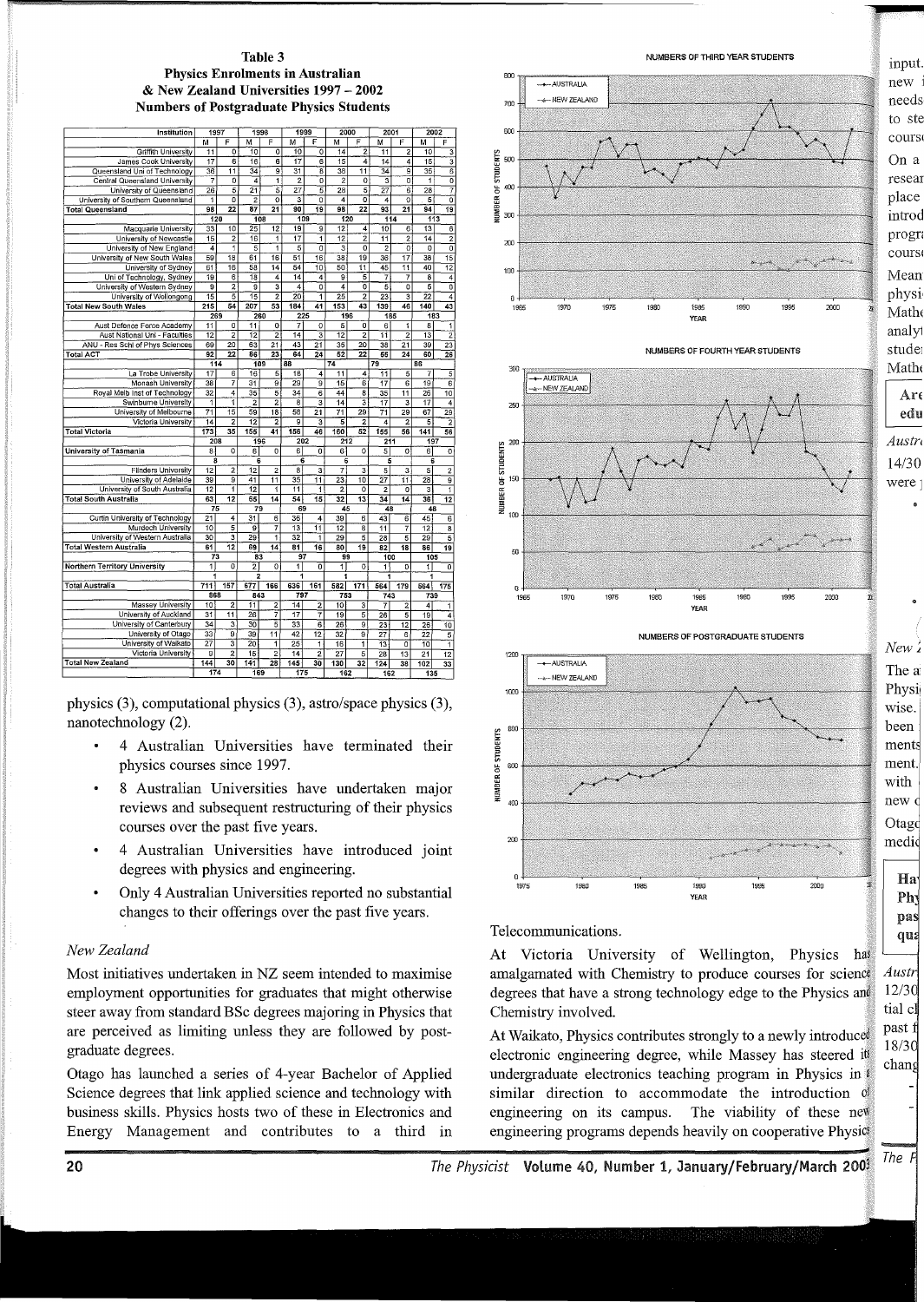#### Table 3 Physics Enrolments in Australian & New Zealand Universities 1997-2002 Numbers of Postgraduate Physics Students

| Institution                                           | 1997            |                         | 1998                     |                         | 1999                    |                                      | 2000                              |                         | 2001                              |                                  | 2002                    |                           |  |
|-------------------------------------------------------|-----------------|-------------------------|--------------------------|-------------------------|-------------------------|--------------------------------------|-----------------------------------|-------------------------|-----------------------------------|----------------------------------|-------------------------|---------------------------|--|
|                                                       | м               | F                       | М                        | F                       | м                       | F                                    | м                                 | F                       | м                                 | F                                | м                       | F                         |  |
| <b>Griffith University</b>                            | 11              | $\overline{0}$          | 10                       | ō                       | 10                      | $\mathbf 0$                          | 14                                | $\overline{2}$          | 11                                | $\overline{c}$                   | 10                      | 3                         |  |
|                                                       |                 | $\overline{6}$          | $\overline{16}$          | $\overline{\bf{6}}$     | 17                      | 6                                    | $\overline{15}$                   | 4                       |                                   |                                  | 15                      | $\overline{\mathbf{3}}$   |  |
| James Cook University<br>Queensland Uni of Technology | 17<br>36        | $\overline{11}$         | 34                       | $\overline{9}$          | 31                      | $\overline{8}$                       | 38                                | $\overline{11}$         | 14<br>$\overline{34}$             | 4<br>ē                           | 35                      | 6                         |  |
| Central Queensland University                         | 7               | ō                       | 4                        | $\overline{1}$          | $\overline{2}$          | $\overline{0}$                       | $\overline{2}$                    | ō                       |                                   | $\overline{0}$                   | 1                       | ō                         |  |
|                                                       |                 | $\overline{5}$          | $\overline{21}$          | $\overline{5}$          | $\overline{27}$         |                                      |                                   | $\overline{5}$          |                                   |                                  |                         |                           |  |
| University of Queensland                              | 26              | ō                       |                          |                         | 3                       | $\overline{5}$                       | $\overline{28}$<br>$\overline{4}$ | $\overline{0}$          | 27                                | 6<br>ō                           | 28                      | 7<br>ō                    |  |
| University of Southern Queensland                     | 1<br>98         | 22                      | $\overline{2}$<br>87     | o                       | 90                      | o<br>19                              | 98                                | 22                      | 4<br>93                           |                                  | 5<br>94                 |                           |  |
| <b>Total Queensland</b>                               |                 |                         |                          | 21                      |                         |                                      |                                   |                         |                                   | 21                               |                         | 19                        |  |
|                                                       | 120             | 10                      | 108                      |                         | 109<br>19               |                                      | 120                               |                         |                                   | 114                              | 113                     |                           |  |
| Macquarie University                                  | 33              | $\overline{2}$          | 25<br>16                 | 12                      | $\overline{17}$         | 9                                    | 12<br>$\overline{12}$             | 4<br>2                  | 10                                | 6                                | 13                      | 6                         |  |
| University of Newcastle                               | 15              |                         |                          | 1                       |                         | 1<br>$\overline{0}$                  | $\overline{\mathbf{3}}$           | $\overline{o}$          | $\overline{11}$<br>$\overline{2}$ | $\overline{2}$<br>$\overline{0}$ | 14<br>$\overline{0}$    | 2                         |  |
| University of New England                             | 4               | $\overline{1}$          | 5                        | $\overline{1}$          | $\overline{5}$          |                                      |                                   |                         |                                   |                                  |                         | Ō                         |  |
| University of New South Wales                         | 59              | $\overline{18}$         | 61                       | 16                      | 51                      | 16                                   | 38                                | 19                      | 36                                | 17                               | 38                      | 15                        |  |
| University of Sydney                                  | 61              | 16                      | 58                       | $\overline{14}$         | 54                      | $\overline{10}$                      | 50                                | $\overline{11}$         | 45                                | $\overline{11}$                  | 40                      | 12                        |  |
| Uni of Technology, Sydney                             | 19              | 6                       | $\overline{18}$          | 4                       | 14                      | 4                                    | $\overline{9}$                    | $\overline{5}$          | 7                                 | 7                                | $\overline{\mathbf{8}}$ | 4                         |  |
| University of Western Sydney                          | g               | $\overline{2}$          | g                        | $\overline{\mathbf{3}}$ | 4                       | ō                                    | 4                                 | ō                       | $\overline{5}$                    | $\overline{\mathfrak{o}}$        | 5                       | $\overline{\mathfrak{o}}$ |  |
| University of Wollongong                              | 15              | 5                       | $\overline{15}$          | $\overline{2}$          | 20                      | T                                    | 25                                | $\overline{2}$          | 23                                | 3                                | 22                      | 4                         |  |
| <b>Total New South Wales</b>                          | $\frac{215}{ }$ | 54                      | 207                      | $\overline{53}$         | 184                     | 41                                   | 153                               | 43                      | 139                               | 46                               | 140                     | 43                        |  |
|                                                       | 269             |                         | 260                      |                         |                         | 225                                  | 196                               |                         |                                   | 185                              | 183                     |                           |  |
| Aust Defence Force Academy                            | 11              | 0                       | 11                       | 0                       | 7                       | 0                                    | 5                                 | 0                       | 6                                 | 1                                | 8                       | 1                         |  |
| Aust National Uni - Faculties                         | $\overline{12}$ | $\overline{a}$          | $\overline{12}$          | $\overline{2}$          | 14                      | $\overline{\overline{\overline{3}}}$ | $\overline{12}$                   | $\overline{c}$          | 11                                | $\overline{2}$                   | $\overline{13}$         | $\overline{2}$            |  |
| ANU - Res Schl of Phys Sciences                       | 69              | $\overline{20}$         | $\overline{63}$          | $\overline{21}$         | $\overline{43}$         | $\overline{21}$                      | $\overline{35}$                   | 20                      | $\overline{38}$                   | $\overline{21}$                  | 39                      | 23                        |  |
| Total ACT                                             | $\overline{92}$ | 22                      | $\overline{\mathbf{36}}$ | 23                      | $\overline{64}$         | 24                                   | 52                                | $\overline{22}$         | 55                                | 24                               | 60                      | $\overline{26}$           |  |
|                                                       | 114             |                         | 109                      |                         | 88                      |                                      | $\overline{74}$                   |                         | 79                                |                                  | 86                      |                           |  |
| La Trobe University                                   | 17              | 6                       | 16                       | 5                       | 18                      | 4                                    | 11                                | 4                       | 11                                | 5                                | 7                       | 5                         |  |
| Monash University                                     | 38              | 7                       | 31                       | 9                       | 29                      | 9                                    | 15                                | 6                       | 17                                | 6                                | 19                      | 6                         |  |
| Royal Melb Inst of Technology                         | 32              | 4                       | 35                       | 5                       | 34                      | $\overline{\epsilon}$                | 44                                | 8                       | $\overline{35}$                   | $\overline{11}$                  | 26                      | $\overline{10}$           |  |
| Swinburne University                                  | $\overline{1}$  | ī                       | $\overline{2}$           | $\overline{2}$          | $\overline{\mathbf{8}}$ | $\overline{\mathbf{3}}$              | $\overline{14}$                   | 3                       | $\overline{17}$                   | $\overline{\mathbf{3}}$          | $\overline{17}$         | $\overline{4}$            |  |
| University of Melbourne                               | $\overline{71}$ | 15                      | 59                       | 18                      | 58                      | 21                                   | $\overline{71}$                   | 29                      | 71                                | 29                               | 67                      | 29                        |  |
| Victoria University                                   | 14              | $\overline{2}$          | $\overline{12}$          | $\overline{2}$          | 9                       | 3                                    | 5                                 | $\overline{2}$          | 4                                 | $\overline{2}$                   | 5                       | 2                         |  |
| <b>Total Victoria</b>                                 | 173             | 35                      | 155                      | 41                      | 156                     | 46                                   | 160                               | 52                      | 155                               | 56                               | 141                     | 56                        |  |
|                                                       | 208             |                         | 196                      |                         |                         | 202                                  | 212                               |                         | 211                               |                                  | 197                     |                           |  |
| University of Tasmania                                | 8               | $\overline{0}$          | 61                       | $\overline{0}$          | $\overline{\mathbf{6}}$ | $\overline{0}$                       | 6                                 | $\overline{\mathbf{o}}$ | 5                                 | ō                                | 6                       | $\overline{\mathbf{o}}$   |  |
|                                                       | 8               |                         | 6                        |                         | $\overline{6}$          |                                      | 6                                 |                         | 5                                 |                                  | 6                       |                           |  |
| <b>Flinders University</b>                            | 12              | $\overline{\mathbf{2}}$ | $\overline{12}$          | $\overline{2}$          | $^{\circ}$              | 3                                    | 7                                 | $\overline{\mathbf{3}}$ | $\overline{5}$                    | $\overline{\mathbf{3}}$          | 5                       | $\overline{c}$            |  |
| University of Adelaide                                | 39              | 9                       | $\overline{41}$          | $\overline{11}$         | 35                      | $\overline{11}$                      | 23                                | 10                      | 27                                | 11                               | $\overline{28}$         | 9                         |  |
| University of South Australia                         | $\overline{12}$ | ī                       | $\overline{12}$          | 1                       | $\overline{11}$         | 1                                    | $\overline{2}$                    | $\circ$                 | $\overline{2}$                    | ō                                | 3                       | ī                         |  |
| <b>Total South Australia</b>                          | 63              | 12                      | 65                       | $\overline{14}$         | $\overline{54}$         | 15                                   | $\overline{32}$                   | $\overline{13}$         | 34                                | 14                               | 36                      | 12                        |  |
|                                                       | 75              |                         | 79                       |                         | 69                      |                                      | 45                                |                         | 48                                |                                  | 48                      |                           |  |
| Curtin University of Technology                       | 21              | 4                       | 31                       | 6                       | 36                      | $\overline{4}$                       | 39                                | $\overline{6}$          | 43                                | $\overline{6}$                   | 45                      | $\overline{\mathbf{6}}$   |  |
| Murdoch University                                    | 10              | 5                       | 5                        | 7                       | $\overline{13}$         | 11                                   | $\overline{12}$                   | $\overline{\mathbf{g}}$ | $\overline{11}$                   | 7                                | 12                      | $\overline{\mathbf{8}}$   |  |
| University of Western Australia                       | 30              | 3                       | 29                       | $\overline{1}$          | 32                      | 1                                    | 29                                | 5                       | $\overline{28}$                   | $\overline{5}$                   | 29                      | 5                         |  |
| Total Western Australia                               | 61              | 12                      | 69                       | 14                      | $\overline{81}$         | 16                                   | 80                                | 19                      | 82                                | 18                               | 86                      | 19                        |  |
|                                                       | 73              |                         | 83                       |                         | 97                      |                                      | 99                                |                         | 100                               |                                  | 105                     |                           |  |
| <b>Northern Territory University</b>                  | $\overline{1}$  | $\overline{0}$          | $\overline{2}$           | ō                       | 1                       | ō                                    | 11                                | $\circ$                 | 1                                 | $\overline{0}$                   | 1                       | $\overline{0}$            |  |
|                                                       | 1               |                         | 2                        |                         | 1                       |                                      | 1                                 |                         | 1                                 |                                  | 1                       |                           |  |
| <b>Total Australia</b>                                | 711             | 157                     | 677                      | 166                     | 636                     | 161                                  | 582                               | 171                     | 564                               | 179                              | 564                     | 175                       |  |
|                                                       | 868             |                         | 843                      |                         | 797                     |                                      | 753                               |                         | 743                               |                                  | 739                     |                           |  |
| <b>Massey University</b>                              | 10              | $\overline{2}$          | 11                       | 2                       | 14                      | $\overline{2}$                       | 10 <sup>1</sup>                   | 3                       | 7                                 | $\overline{2}$                   | 4                       | 1                         |  |
| University of Auckland                                | 31              | 11                      | 26                       | 7                       | 17                      | 7                                    | 19                                | 5                       | $\overline{26}$                   | 5                                | 19                      | 4                         |  |
| University of Canterbury                              | 34              | 3                       | $\overline{30}$          | $\overline{5}$          | 33                      | $\overline{6}$                       | $\overline{26}$                   | $\overline{9}$          | 23                                | 12                               | 26                      | 10                        |  |
| University of Otago                                   | $\overline{33}$ | 9                       | 39                       | 11                      | 42                      | 12                                   | $\overline{32}$                   | $\overline{\mathsf{g}}$ | 27                                | 6                                | 22                      | $\overline{5}$            |  |
| University of Waikato                                 | $\overline{27}$ | 3                       | $\overline{20}$          | 1                       | 25                      | $\overline{\mathbf{1}}$              | 16                                | 1                       | 13                                | o                                | 10                      | ĩ                         |  |
| Victoria University                                   | $\overline{9}$  | $\overline{2}$          | $\overline{15}$          | $\overline{2}$          | $\overline{14}$         | 2                                    | 27                                | 5                       | $\overline{28}$                   | $\overline{13}$                  | $\overline{21}$         | $\overline{12}$           |  |
| <b>Total New Zealand</b>                              | 144             | 30                      | 141                      | 28                      | 145                     | 30                                   | 130                               | 32                      | 124                               | 38                               | 102                     | 33                        |  |
|                                                       | 174             |                         | 169                      |                         | 175                     |                                      |                                   | 162                     |                                   | 162                              |                         | 135                       |  |
|                                                       |                 |                         |                          |                         |                         |                                      |                                   |                         |                                   |                                  |                         |                           |  |

physics (3), computational physics (3), astro/space physics (3), nanotechnology (2).

- 4 Australian Universities have terminated their physics courses since 1997.
- 8 Australian Universities have undertaken major reviews and subsequent restructuring of their physics courses over the past five years.
- 4 Australian Universities have introduced joint degrees with physics and engineering.
- Only 4 Australian Universities reported no substantial changes to their offerings over the past five years.

## *New Zealand*

Most initiatives undertaken in NZ seem intended to maximise employment opportunities for graduates that might otherwise steer away from standard BSc degrees majoring in Physics that are perceived as limiting unless they are followed by postgraduate degrees.

Otago has launched a series of 4-year Bachelor of Applied Science degrees that link applied science and technology with business skills. Physics hosts two of these in Electronics and Energy Management and contributes to a third in



NUMBERS OF FOURTH YEAR STUDENTS



NUMBERS OF POSTGRADUATE STUDENTS



Telecommunications.

At Victoria University of Wellington, Physics has amalgamated with Chemistry to produce courses for science. degrees that have a strong technology edge to the Physics and Chemistry involved.

At Waikato, Physics contributes strongly to a newly introduced electronic engineering degree, while Massey has steered its undergraduate electronics teaching program in Physics in  $\ell$ similar direction to accommodate the introduction of engineering on its campus. The viability of these new engineering programs depends heavily on cooperative Physics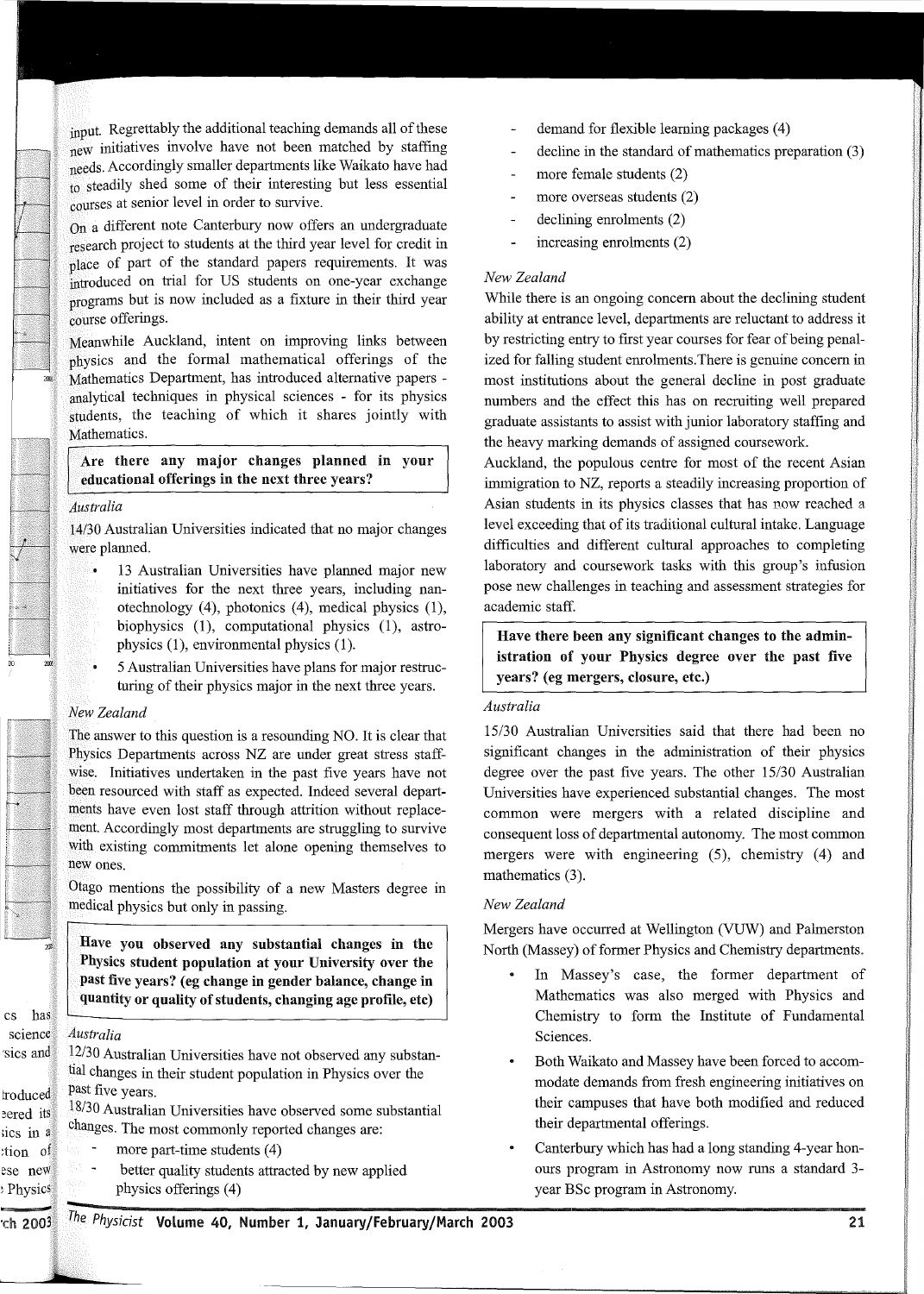input. Regrettably the additional teaching demands all of these new initiatives involve have not been matched by staffing needs. Accordingly smaller departments like Waikato have had to steadily shed some of their interesting but less essential courses at senior level in order to survive.

On a different note Canterbury now offers an undergraduate research project to students at the third year level for credit in place of part of the standard papers requirements. It was introduced on trial for US students on one-year exchange programs but is now included as a fixture in their third year course offerings.

Meanwhile Auckland, intent on improving links between physics and the formal mathematical offerings of the Mathematics Department, has introduced alternative papers analytical techniques in physical sciences - for its physics students, the teaching of which it shares jointly with Mathematics.

Are there any major changes planned in your educational offerings in the next three years?

#### *Australia*

14/30 Australian Universities indicated that no major changes were planned.

- 13 Australian Universities have planned major new ું initiatives for the next three years, including nanotechnology (4), photonics (4), medical physics (1), biophysics  $(1)$ , computational physics  $(1)$ , astrophysics  $(1)$ , environmental physics  $(1)$ .
- 5 Australian Universities have plans for major restruc-۰. turing of their physics major in the next three years.

#### *New Zealand*

The answer to this question is a resounding NO. It is clear that Physics Departments across NZ are under great stress staffwise. Initiatives undertaken in the past five years have not been resourced with staff as expected. Indeed several departments have even lost staff through attrition without replacement. Accordingly most departments are struggling to survive with existing commitments let alone opening themselves to new ones.

Otago mentions the possibility of a new Masters degree in medical physics but only in passing.

Have you observed any substantial changes in the Physics student population at your University over the past five years? (eg change in gender balance, change in quantity or quality of students, changing age profile, etc)

## *Australia*

~Physics

L.

12/30 Australian Universities have not observed any substantial changes in their student population in Physics over the past five years.

18/30 Australian Universities have observed some substantial changes. The most commonly reported changes are:

- more part-time students (4)
- $\ddot{\phantom{1}}$ better quality students attracted by new applied physics offerings (4)
- demand for flexible learning packages (4)
- decline in the standard of mathematics preparation (3)
- more female students (2)
- l, more overseas students (2)
- declining emolments (2)  $\overline{a}$
- increasing emolments (2) L,

## *New Zealand*

While there is an ongoing concern about the declining student ability at entrance level, departments are reluctant to address it by restricting entry to first year courses for fear of being penalized for falling student emolments. There is genuine concern in most institutions about the general decline in post graduate numbers and the effect this has on recruiting well prepared graduate assistants to assist with junior laboratory staffing and the heavy marking demands of assigned coursework.

Auckland, the populous centre for most of the recent Asian immigration to NZ, reports a steadily increasing proportion of Asian students in its physics classes that has now reached a level exceeding that of its traditional cultural intake. Language difficulties and different cultural approaches to completing laboratory and coursework tasks with this group's infusion pose new challenges in teaching and assessment strategies for academic staff.

Have there been any significant changes to the administration of your Physics degree over the past five years? (eg mergers, closure, etc.)

## *Australia*

15/30 Australian Universities said that there had been no significant changes in the administration of their physics degree over the past five years. The other 15/30 Australian Universities have experienced substantial changes. The most common were mergers with a related discipline and consequent loss of departmental autonomy. The most common mergers were with engineering (5), chemistry (4) and mathematics  $(3)$ .

## *New Zealand*

Mergers have occurred at Wellington (VUW) and Palmerston North (Massey) of former Physics and Chemistry departments.

- In Massey's case, the former department of Mathematics was also merged with Physics and Chemistry to form the Institute of Fundamental Sciences.
- Both Waikato and Massey have been forced to accommodate demands from fresh engineering initiatives on their campuses that have both modified and reduced their departmental offerings.
- Canterbury which has had a long standing 4-year honours program in Astronomy now runs a standard 3 year BSc program in Astronomy.